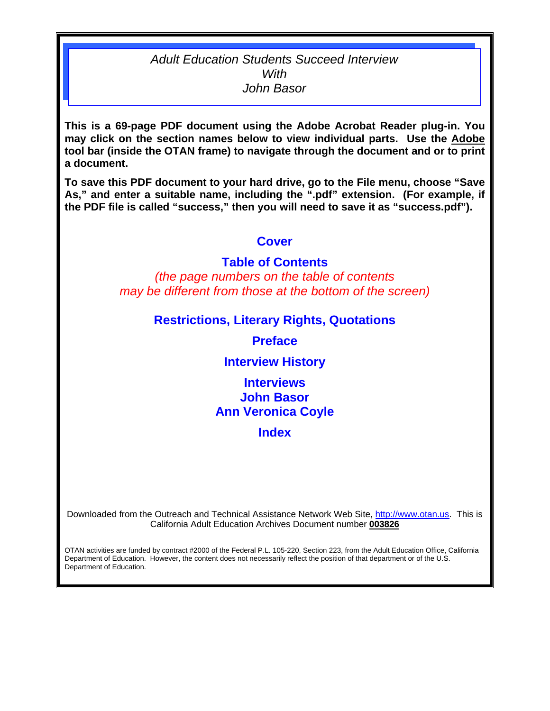## *Adult Education Students Succeed Interview With John Basor*

**This is a 69-page PDF document using the Adobe Acrobat Reader plug-in. You may click on the section names below to view individual parts. Use the Adobe tool bar (inside the OTAN frame) to navigate through the document and or to print a document.** 

**To save this PDF document to your hard drive, go to the File menu, choose "Save As," and enter a suitable name, including the ".pdf" extension. (For example, if the PDF file is called "success," then you will need to save it as "success.pdf").** 

# **[Cover](#page-1-0)**

## **[Table of Contents](#page-2-0)**

*(the page numbers on the table of contents may be different from those at the bottom of the screen)* 

## **[Restrictions, Literary Rights, Quotations](#page-4-0)**

**[Preface](#page-5-0)** 

## **[Interview History](#page-6-0)**

**Interviews [John Basor](#page-7-0)  [Ann Veronica Coyle](#page-42-0)** 

**[Index](#page-67-0)** 

Downloaded from the Outreach and Technical Assistance Network Web Site, [http://www.otan.us.](http://www.otan.us) This is California Adult Education Archives Document number **003826** 

OTAN activities are funded by contract #2000 of the Federal P.L. 105-220, Section 223, from the Adult Education Office, California Department of Education. However, the content does not necessarily reflect the position of that department or of the U.S. Department of Education.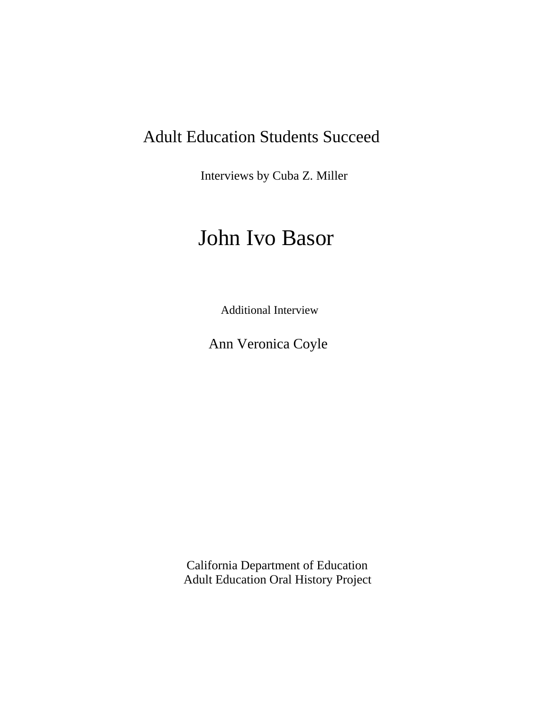# <span id="page-1-0"></span>Adult Education Students Succeed

Interviews by Cuba Z. Miller

# John Ivo Basor

Additional Interview

Ann Veronica Coyle

California Department of Education Adult Education Oral History Project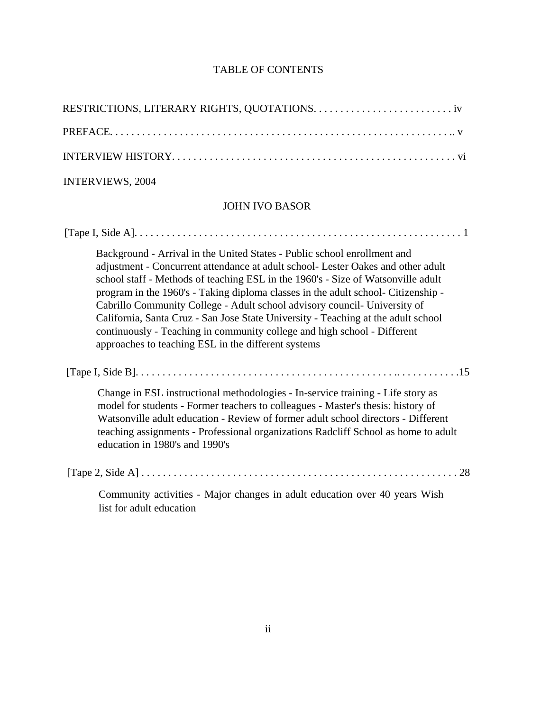<span id="page-2-0"></span>

| <b>INTERVIEWS, 2004</b>                                                                                                                                                                                                                                                                                                                                                                                                                                                                                                                                                                                                                    |
|--------------------------------------------------------------------------------------------------------------------------------------------------------------------------------------------------------------------------------------------------------------------------------------------------------------------------------------------------------------------------------------------------------------------------------------------------------------------------------------------------------------------------------------------------------------------------------------------------------------------------------------------|
| <b>JOHN IVO BASOR</b>                                                                                                                                                                                                                                                                                                                                                                                                                                                                                                                                                                                                                      |
|                                                                                                                                                                                                                                                                                                                                                                                                                                                                                                                                                                                                                                            |
| Background - Arrival in the United States - Public school enrollment and<br>adjustment - Concurrent attendance at adult school- Lester Oakes and other adult<br>school staff - Methods of teaching ESL in the 1960's - Size of Watsonville adult<br>program in the 1960's - Taking diploma classes in the adult school- Citizenship -<br>Cabrillo Community College - Adult school advisory council- University of<br>California, Santa Cruz - San Jose State University - Teaching at the adult school<br>continuously - Teaching in community college and high school - Different<br>approaches to teaching ESL in the different systems |
|                                                                                                                                                                                                                                                                                                                                                                                                                                                                                                                                                                                                                                            |
| Change in ESL instructional methodologies - In-service training - Life story as<br>model for students - Former teachers to colleagues - Master's thesis: history of<br>Watsonville adult education - Review of former adult school directors - Different<br>teaching assignments - Professional organizations Radcliff School as home to adult<br>education in 1980's and 1990's                                                                                                                                                                                                                                                           |
|                                                                                                                                                                                                                                                                                                                                                                                                                                                                                                                                                                                                                                            |
| Community activities - Major changes in adult education over 40 years Wish<br>list for adult education                                                                                                                                                                                                                                                                                                                                                                                                                                                                                                                                     |

### TABLE OF CONTENTS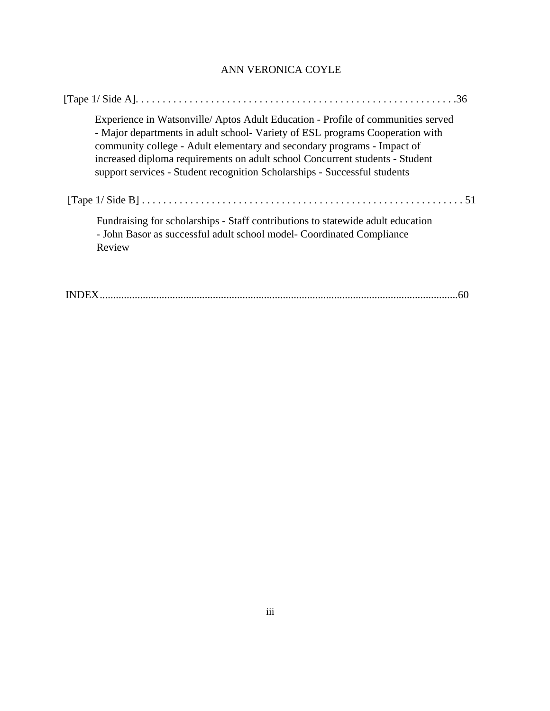### ANN VERONICA COYLE

|  | Experience in Watsonville/Aptos Adult Education - Profile of communities served<br>- Major departments in adult school- Variety of ESL programs Cooperation with<br>community college - Adult elementary and secondary programs - Impact of<br>increased diploma requirements on adult school Concurrent students - Student<br>support services - Student recognition Scholarships - Successful students |  |  |
|--|----------------------------------------------------------------------------------------------------------------------------------------------------------------------------------------------------------------------------------------------------------------------------------------------------------------------------------------------------------------------------------------------------------|--|--|
|  |                                                                                                                                                                                                                                                                                                                                                                                                          |  |  |
|  | Fundraising for scholarships - Staff contributions to statewide adult education<br>- John Basor as successful adult school model- Coordinated Compliance<br>Review                                                                                                                                                                                                                                       |  |  |
|  |                                                                                                                                                                                                                                                                                                                                                                                                          |  |  |

INDEX.....................................................................................................................................60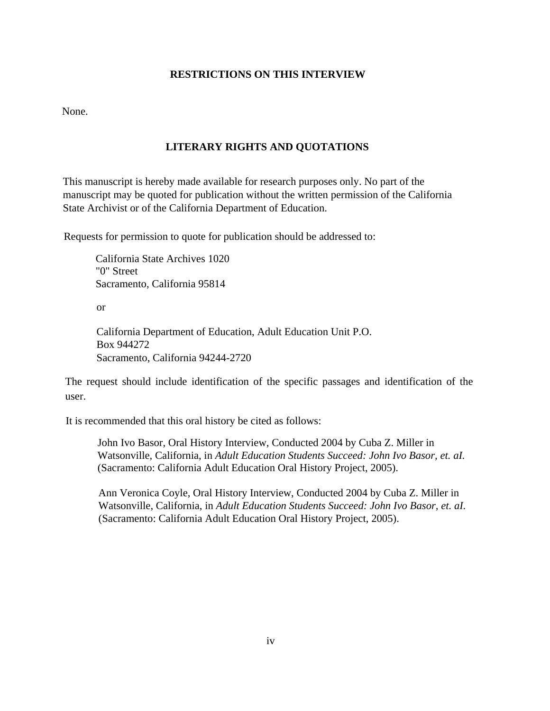#### **RESTRICTIONS ON THIS INTERVIEW**

<span id="page-4-0"></span>None.

#### **LITERARY RIGHTS AND QUOTATIONS**

This manuscript is hereby made available for research purposes only. No part of the manuscript may be quoted for publication without the written permission of the California State Archivist or of the California Department of Education.

Requests for permission to quote for publication should be addressed to:

California State Archives 1020 "0" Street Sacramento, California 95814

or

California Department of Education, Adult Education Unit P.O. Box 944272 Sacramento, California 94244-2720

The request should include identification of the specific passages and identification of the user.

It is recommended that this oral history be cited as follows:

John Ivo Basor, Oral History Interview, Conducted 2004 by Cuba Z. Miller in Watsonville, California, in *Adult Education Students Succeed: John Ivo Basor, et. aI.*  (Sacramento: California Adult Education Oral History Project, 2005).

Ann Veronica Coyle, Oral History Interview, Conducted 2004 by Cuba Z. Miller in Watsonville, California, in *Adult Education Students Succeed: John Ivo Basor, et. aI.*  (Sacramento: California Adult Education Oral History Project, 2005).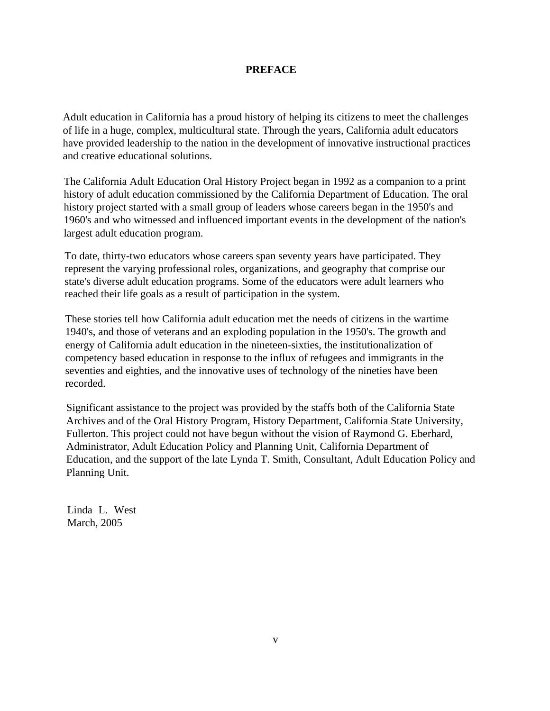#### **PREFACE**

<span id="page-5-0"></span>Adult education in California has a proud history of helping its citizens to meet the challenges of life in a huge, complex, multicultural state. Through the years, California adult educators have provided leadership to the nation in the development of innovative instructional practices and creative educational solutions.

The California Adult Education Oral History Project began in 1992 as a companion to a print history of adult education commissioned by the California Department of Education. The oral history project started with a small group of leaders whose careers began in the 1950's and 1960's and who witnessed and influenced important events in the development of the nation's largest adult education program.

To date, thirty-two educators whose careers span seventy years have participated. They represent the varying professional roles, organizations, and geography that comprise our state's diverse adult education programs. Some of the educators were adult learners who reached their life goals as a result of participation in the system.

These stories tell how California adult education met the needs of citizens in the wartime 1940's, and those of veterans and an exploding population in the 1950's. The growth and energy of California adult education in the nineteen-sixties, the institutionalization of competency based education in response to the influx of refugees and immigrants in the seventies and eighties, and the innovative uses of technology of the nineties have been recorded.

Significant assistance to the project was provided by the staffs both of the California State Archives and of the Oral History Program, History Department, California State University, Fullerton. This project could not have begun without the vision of Raymond G. Eberhard, Administrator, Adult Education Policy and Planning Unit, California Department of Education, and the support of the late Lynda T. Smith, Consultant, Adult Education Policy and Planning Unit.

Linda L. West March, 2005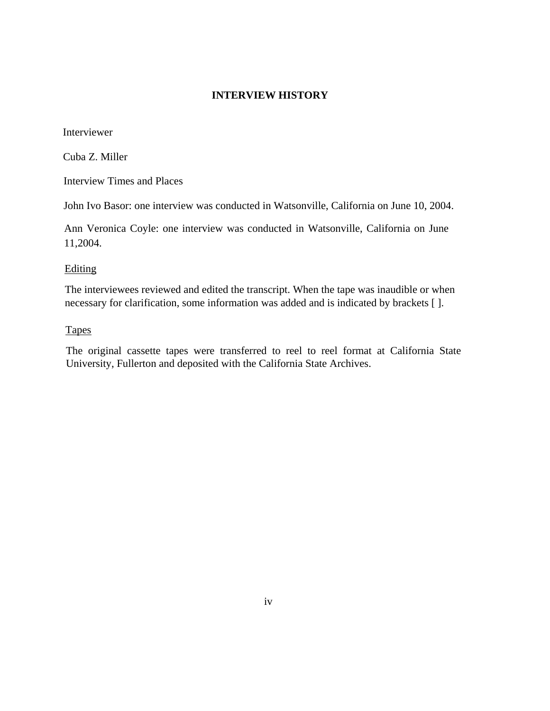#### **INTERVIEW HISTORY**

<span id="page-6-0"></span>Interviewer

Cuba Z. Miller

Interview Times and Places

John Ivo Basor: one interview was conducted in Watsonville, California on June 10, 2004.

Ann Veronica Coyle: one interview was conducted in Watsonville, California on June 11,2004.

#### **Editing**

The interviewees reviewed and edited the transcript. When the tape was inaudible or when necessary for clarification, some information was added and is indicated by brackets [ ].

#### **Tapes**

The original cassette tapes were transferred to reel to reel format at California State University, Fullerton and deposited with the California State Archives.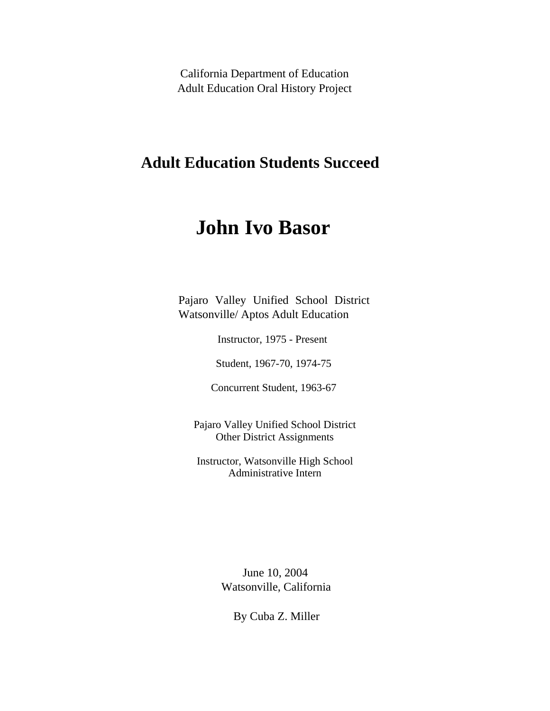<span id="page-7-0"></span>California Department of Education Adult Education Oral History Project

# **Adult Education Students Succeed**

# **John Ivo Basor**

Pajaro Valley Unified School District Watsonville/ Aptos Adult Education

Instructor, 1975 - Present

Student, 1967-70, 1974-75

Concurrent Student, 1963-67

Pajaro Valley Unified School District Other District Assignments

Instructor, Watsonville High School Administrative Intern

> June 10, 2004 Watsonville, California

> > By Cuba Z. Miller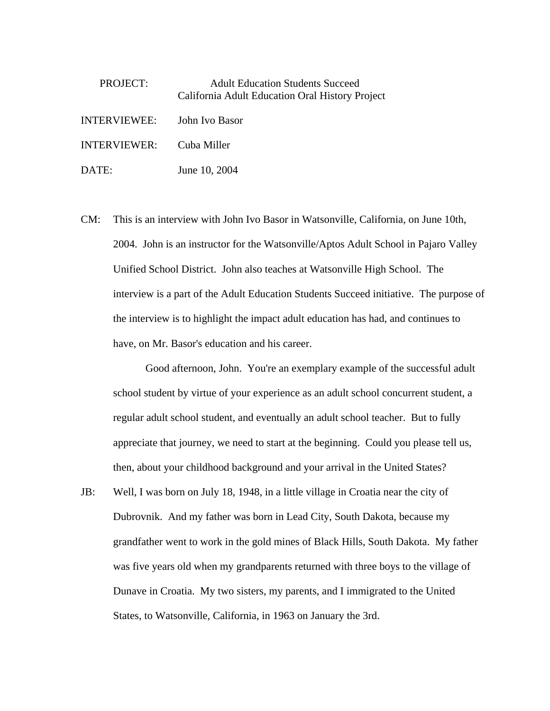| PROJECT:     | <b>Adult Education Students Succeed</b><br>California Adult Education Oral History Project |
|--------------|--------------------------------------------------------------------------------------------|
| INTERVIEWEE: | John Ivo Basor                                                                             |
| INTERVIEWER: | Cuba Miller                                                                                |
| DATE:        | June 10, 2004                                                                              |

CM: This is an interview with John Ivo Basor in Watsonville, California, on June 10th, 2004. John is an instructor for the Watsonville/Aptos Adult School in Pajaro Valley Unified School District. John also teaches at Watsonville High School. The interview is a part of the Adult Education Students Succeed initiative. The purpose of the interview is to highlight the impact adult education has had, and continues to have, on Mr. Basor's education and his career.

Good afternoon, John. You're an exemplary example of the successful adult school student by virtue of your experience as an adult school concurrent student, a regular adult school student, and eventually an adult school teacher. But to fully appreciate that journey, we need to start at the beginning. Could you please tell us, then, about your childhood background and your arrival in the United States?

JB: Well, I was born on July 18, 1948, in a little village in Croatia near the city of Dubrovnik. And my father was born in Lead City, South Dakota, because my grandfather went to work in the gold mines of Black Hills, South Dakota. My father was five years old when my grandparents returned with three boys to the village of Dunave in Croatia. My two sisters, my parents, and I immigrated to the United States, to Watsonville, California, in 1963 on January the 3rd.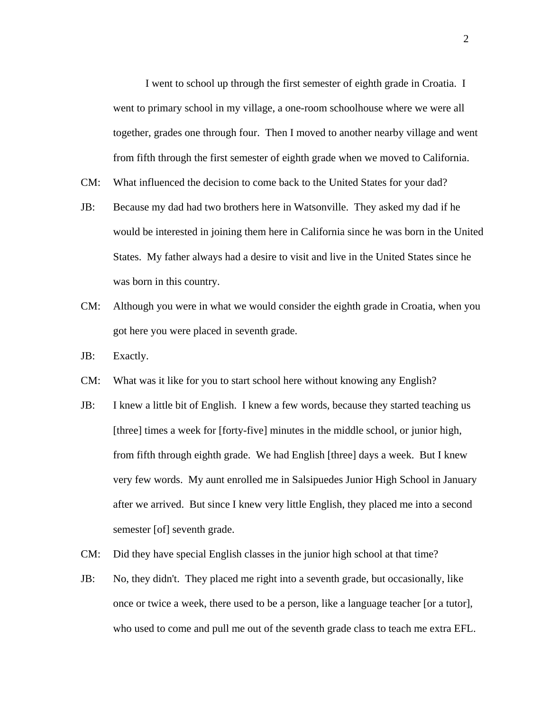I went to school up through the first semester of eighth grade in Croatia. I went to primary school in my village, a one-room schoolhouse where we were all together, grades one through four. Then I moved to another nearby village and went from fifth through the first semester of eighth grade when we moved to California.

- CM: What influenced the decision to come back to the United States for your dad?
- JB: Because my dad had two brothers here in Watsonville. They asked my dad if he would be interested in joining them here in California since he was born in the United States. My father always had a desire to visit and live in the United States since he was born in this country.
- CM: Although you were in what we would consider the eighth grade in Croatia, when you got here you were placed in seventh grade.
- JB: Exactly.
- CM: What was it like for you to start school here without knowing any English?
- JB: I knew a little bit of English. I knew a few words, because they started teaching us [three] times a week for [forty-five] minutes in the middle school, or junior high, from fifth through eighth grade. We had English [three] days a week. But I knew very few words. My aunt enrolled me in Salsipuedes Junior High School in January after we arrived. But since I knew very little English, they placed me into a second semester [of] seventh grade.
- CM: Did they have special English classes in the junior high school at that time?
- JB: No, they didn't. They placed me right into a seventh grade, but occasionally, like once or twice a week, there used to be a person, like a language teacher [or a tutor], who used to come and pull me out of the seventh grade class to teach me extra EFL.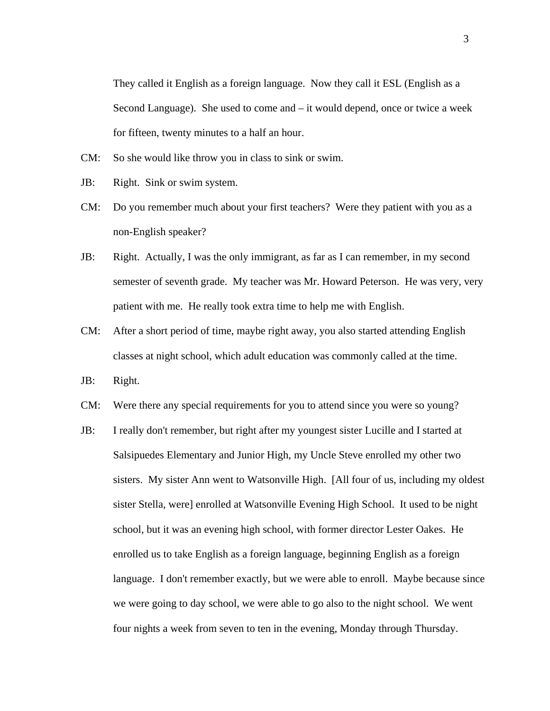They called it English as a foreign language. Now they call it ESL (English as a Second Language). She used to come and – it would depend, once or twice a week for fifteen, twenty minutes to a half an hour.

- CM: So she would like throw you in class to sink or swim.
- JB: Right. Sink or swim system.
- CM: Do you remember much about your first teachers? Were they patient with you as a non-English speaker?
- JB: Right. Actually, I was the only immigrant, as far as I can remember, in my second semester of seventh grade. My teacher was Mr. Howard Peterson. He was very, very patient with me. He really took extra time to help me with English.
- CM: After a short period of time, maybe right away, you also started attending English classes at night school, which adult education was commonly called at the time.
- JB: Right.
- CM: Were there any special requirements for you to attend since you were so young?
- JB: I really don't remember, but right after my youngest sister Lucille and I started at Salsipuedes Elementary and Junior High, my Uncle Steve enrolled my other two sisters. My sister Ann went to Watsonville High. [All four of us, including my oldest sister Stella, were] enrolled at Watsonville Evening High School. It used to be night school, but it was an evening high school, with former director Lester Oakes. He enrolled us to take English as a foreign language, beginning English as a foreign language. I don't remember exactly, but we were able to enroll. Maybe because since we were going to day school, we were able to go also to the night school. We went four nights a week from seven to ten in the evening, Monday through Thursday.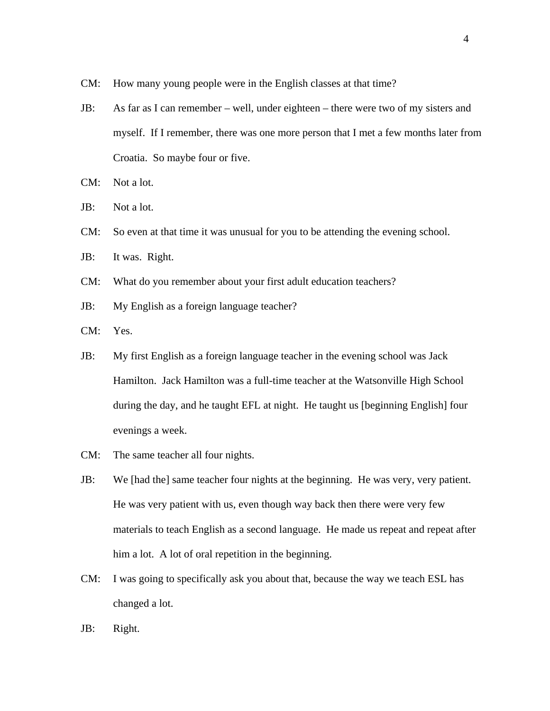- CM: How many young people were in the English classes at that time?
- JB: As far as I can remember well, under eighteen there were two of my sisters and myself. If I remember, there was one more person that I met a few months later from Croatia. So maybe four or five.
- CM: Not a lot.
- JB: Not a lot.
- CM: So even at that time it was unusual for you to be attending the evening school.
- JB: It was. Right.
- CM: What do you remember about your first adult education teachers?
- JB: My English as a foreign language teacher?
- CM: Yes.
- JB: My first English as a foreign language teacher in the evening school was Jack Hamilton. Jack Hamilton was a full-time teacher at the Watsonville High School during the day, and he taught EFL at night. He taught us [beginning English] four evenings a week.
- CM: The same teacher all four nights.
- JB: We [had the] same teacher four nights at the beginning. He was very, very patient. He was very patient with us, even though way back then there were very few materials to teach English as a second language. He made us repeat and repeat after him a lot. A lot of oral repetition in the beginning.
- CM: I was going to specifically ask you about that, because the way we teach ESL has changed a lot.
- JB: Right.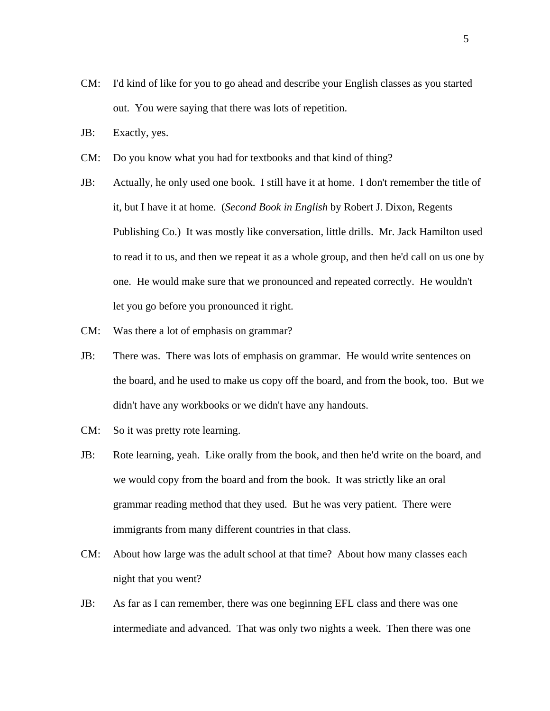- CM: I'd kind of like for you to go ahead and describe your English classes as you started out. You were saying that there was lots of repetition.
- JB: Exactly, yes.
- CM: Do you know what you had for textbooks and that kind of thing?
- JB: Actually, he only used one book. I still have it at home. I don't remember the title of it, but I have it at home. (*Second Book in English* by Robert J. Dixon, Regents Publishing Co.) It was mostly like conversation, little drills. Mr. Jack Hamilton used to read it to us, and then we repeat it as a whole group, and then he'd call on us one by one. He would make sure that we pronounced and repeated correctly. He wouldn't let you go before you pronounced it right.
- CM: Was there a lot of emphasis on grammar?
- JB: There was. There was lots of emphasis on grammar. He would write sentences on the board, and he used to make us copy off the board, and from the book, too. But we didn't have any workbooks or we didn't have any handouts.
- CM: So it was pretty rote learning.
- JB: Rote learning, yeah. Like orally from the book, and then he'd write on the board, and we would copy from the board and from the book. It was strictly like an oral grammar reading method that they used. But he was very patient. There were immigrants from many different countries in that class.
- CM: About how large was the adult school at that time? About how many classes each night that you went?
- JB: As far as I can remember, there was one beginning EFL class and there was one intermediate and advanced. That was only two nights a week. Then there was one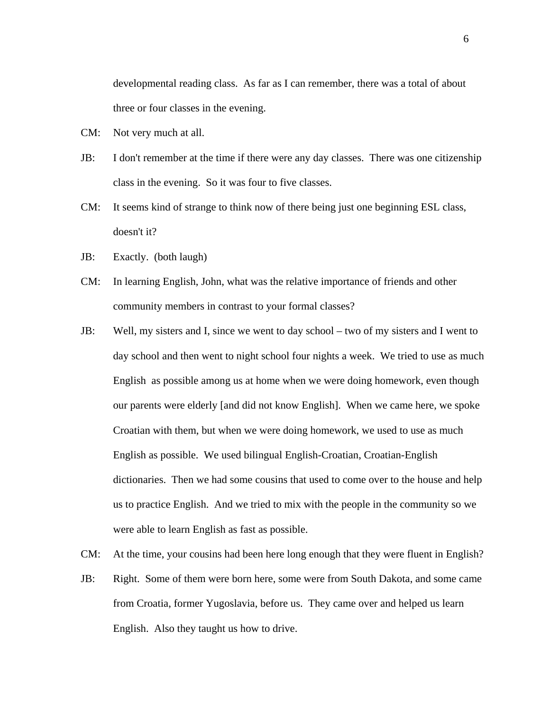developmental reading class. As far as I can remember, there was a total of about three or four classes in the evening.

- CM: Not very much at all.
- JB: I don't remember at the time if there were any day classes. There was one citizenship class in the evening. So it was four to five classes.
- CM: It seems kind of strange to think now of there being just one beginning ESL class, doesn't it?
- JB: Exactly. (both laugh)
- CM: In learning English, John, what was the relative importance of friends and other community members in contrast to your formal classes?
- JB: Well, my sisters and I, since we went to day school two of my sisters and I went to day school and then went to night school four nights a week. We tried to use as much English as possible among us at home when we were doing homework, even though our parents were elderly [and did not know English]. When we came here, we spoke Croatian with them, but when we were doing homework, we used to use as much English as possible. We used bilingual English-Croatian, Croatian-English dictionaries. Then we had some cousins that used to come over to the house and help us to practice English. And we tried to mix with the people in the community so we were able to learn English as fast as possible.
- CM: At the time, your cousins had been here long enough that they were fluent in English?
- JB: Right. Some of them were born here, some were from South Dakota, and some came from Croatia, former Yugoslavia, before us. They came over and helped us learn English. Also they taught us how to drive.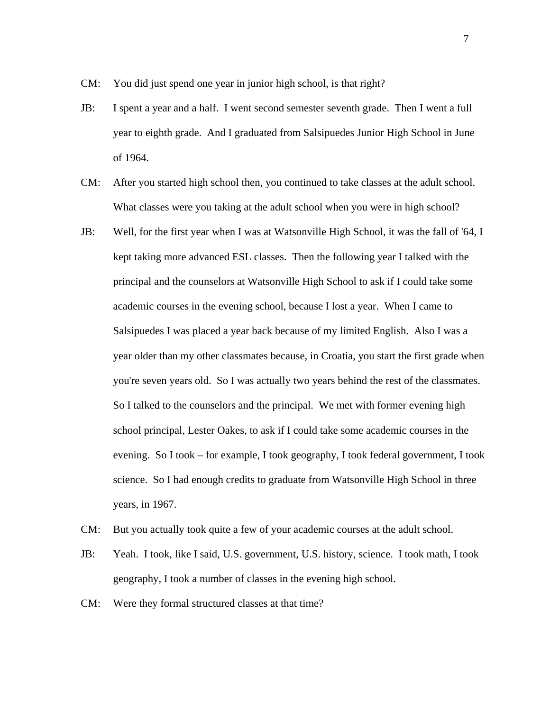CM: You did just spend one year in junior high school, is that right?

- JB: I spent a year and a half. I went second semester seventh grade. Then I went a full year to eighth grade. And I graduated from Salsipuedes Junior High School in June of 1964.
- CM: After you started high school then, you continued to take classes at the adult school. What classes were you taking at the adult school when you were in high school?
- JB: Well, for the first year when I was at Watsonville High School, it was the fall of '64, I kept taking more advanced ESL classes. Then the following year I talked with the principal and the counselors at Watsonville High School to ask if I could take some academic courses in the evening school, because I lost a year. When I came to Salsipuedes I was placed a year back because of my limited English. Also I was a year older than my other classmates because, in Croatia, you start the first grade when you're seven years old. So I was actually two years behind the rest of the classmates. So I talked to the counselors and the principal. We met with former evening high school principal, Lester Oakes, to ask if I could take some academic courses in the evening. So I took – for example, I took geography, I took federal government, I took science. So I had enough credits to graduate from Watsonville High School in three years, in 1967.
- CM: But you actually took quite a few of your academic courses at the adult school.
- JB: Yeah. I took, like I said, U.S. government, U.S. history, science. I took math, I took geography, I took a number of classes in the evening high school.
- CM: Were they formal structured classes at that time?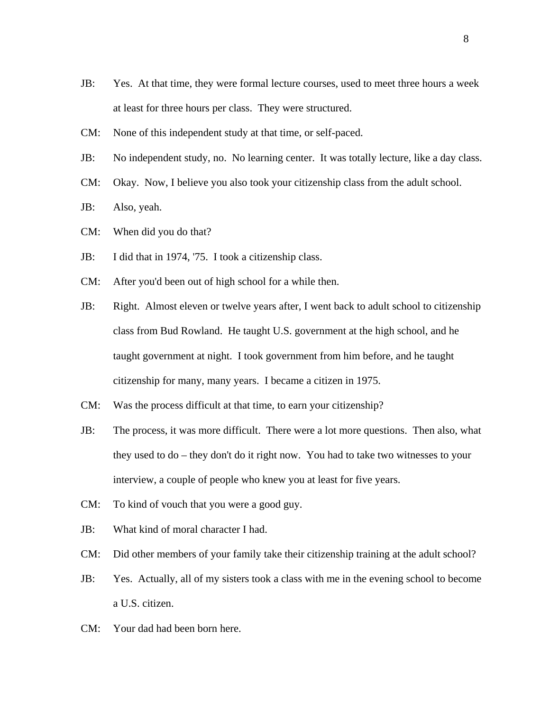- JB: Yes. At that time, they were formal lecture courses, used to meet three hours a week at least for three hours per class. They were structured.
- CM: None of this independent study at that time, or self-paced.
- JB: No independent study, no. No learning center. It was totally lecture, like a day class.
- CM: Okay. Now, I believe you also took your citizenship class from the adult school.
- JB: Also, yeah.
- CM: When did you do that?
- JB: I did that in 1974, '75. I took a citizenship class.
- CM: After you'd been out of high school for a while then.
- JB: Right. Almost eleven or twelve years after, I went back to adult school to citizenship class from Bud Rowland. He taught U.S. government at the high school, and he taught government at night. I took government from him before, and he taught citizenship for many, many years. I became a citizen in 1975.
- CM: Was the process difficult at that time, to earn your citizenship?
- JB: The process, it was more difficult. There were a lot more questions. Then also, what they used to do – they don't do it right now. You had to take two witnesses to your interview, a couple of people who knew you at least for five years.
- CM: To kind of vouch that you were a good guy.
- JB: What kind of moral character I had.
- CM: Did other members of your family take their citizenship training at the adult school?
- JB: Yes. Actually, all of my sisters took a class with me in the evening school to become a U.S. citizen.
- CM: Your dad had been born here.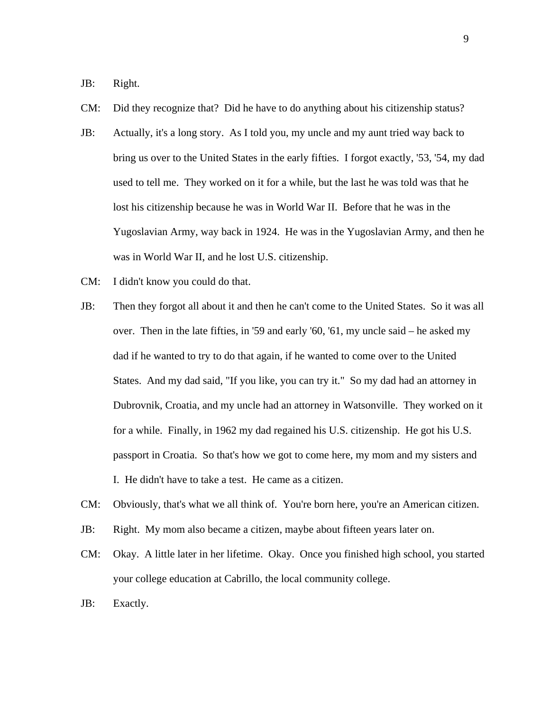JB: Right.

- CM: Did they recognize that? Did he have to do anything about his citizenship status?
- JB: Actually, it's a long story. As I told you, my uncle and my aunt tried way back to bring us over to the United States in the early fifties. I forgot exactly, '53, '54, my dad used to tell me. They worked on it for a while, but the last he was told was that he lost his citizenship because he was in World War II. Before that he was in the Yugoslavian Army, way back in 1924. He was in the Yugoslavian Army, and then he was in World War II, and he lost U.S. citizenship.
- CM: I didn't know you could do that.
- JB: Then they forgot all about it and then he can't come to the United States. So it was all over. Then in the late fifties, in '59 and early '60, '61, my uncle said – he asked my dad if he wanted to try to do that again, if he wanted to come over to the United States. And my dad said, "If you like, you can try it." So my dad had an attorney in Dubrovnik, Croatia, and my uncle had an attorney in Watsonville. They worked on it for a while. Finally, in 1962 my dad regained his U.S. citizenship. He got his U.S. passport in Croatia. So that's how we got to come here, my mom and my sisters and I. He didn't have to take a test. He came as a citizen.
- CM: Obviously, that's what we all think of. You're born here, you're an American citizen.
- JB: Right. My mom also became a citizen, maybe about fifteen years later on.
- CM: Okay. A little later in her lifetime. Okay. Once you finished high school, you started your college education at Cabrillo, the local community college.
- JB: Exactly.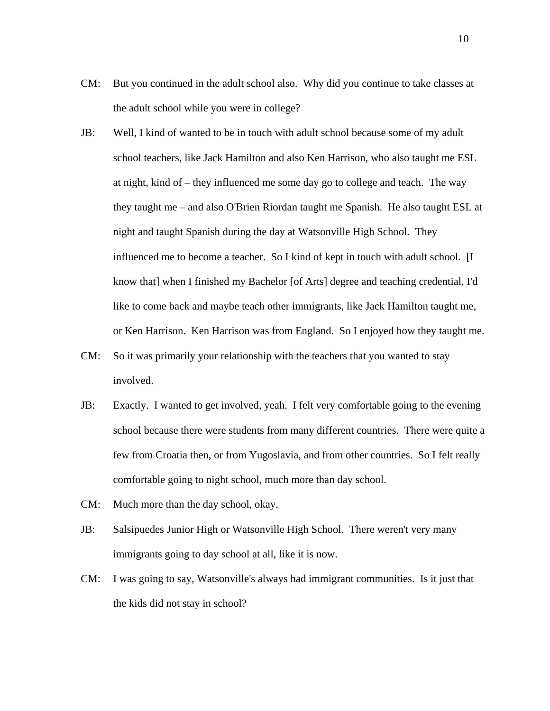- CM: But you continued in the adult school also. Why did you continue to take classes at the adult school while you were in college?
- JB: Well, I kind of wanted to be in touch with adult school because some of my adult school teachers, like Jack Hamilton and also Ken Harrison, who also taught me ESL at night, kind of – they influenced me some day go to college and teach. The way they taught me – and also O'Brien Riordan taught me Spanish. He also taught ESL at night and taught Spanish during the day at Watsonville High School. They influenced me to become a teacher. So I kind of kept in touch with adult school. [I know that] when I finished my Bachelor [of Arts] degree and teaching credential, I'd like to come back and maybe teach other immigrants, like Jack Hamilton taught me, or Ken Harrison. Ken Harrison was from England. So I enjoyed how they taught me.
- CM: So it was primarily your relationship with the teachers that you wanted to stay involved.
- JB: Exactly. I wanted to get involved, yeah. I felt very comfortable going to the evening school because there were students from many different countries. There were quite a few from Croatia then, or from Yugoslavia, and from other countries. So I felt really comfortable going to night school, much more than day school.
- CM: Much more than the day school, okay.
- JB: Salsipuedes Junior High or Watsonville High School. There weren't very many immigrants going to day school at all, like it is now.
- CM: I was going to say, Watsonville's always had immigrant communities. Is it just that the kids did not stay in school?

10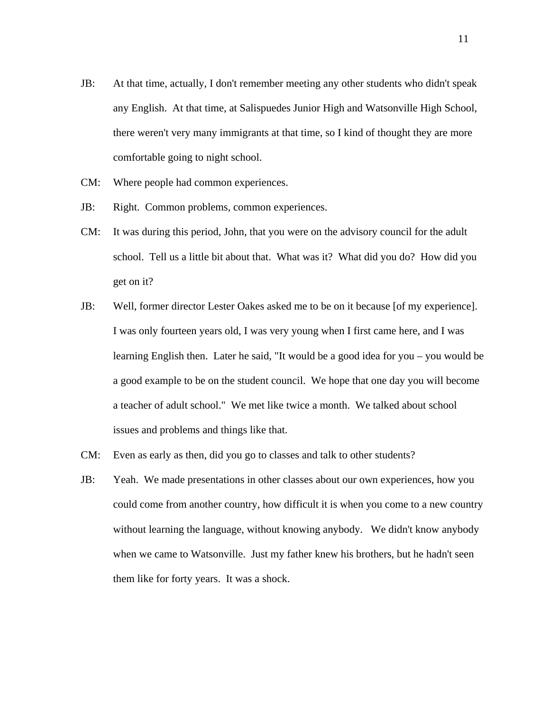- JB: At that time, actually, I don't remember meeting any other students who didn't speak any English. At that time, at Salispuedes Junior High and Watsonville High School, there weren't very many immigrants at that time, so I kind of thought they are more comfortable going to night school.
- CM: Where people had common experiences.
- JB: Right. Common problems, common experiences.
- CM: It was during this period, John, that you were on the advisory council for the adult school. Tell us a little bit about that. What was it? What did you do? How did you get on it?
- JB: Well, former director Lester Oakes asked me to be on it because [of my experience]. I was only fourteen years old, I was very young when I first came here, and I was learning English then. Later he said, "It would be a good idea for you – you would be a good example to be on the student council. We hope that one day you will become a teacher of adult school." We met like twice a month. We talked about school issues and problems and things like that.
- CM: Even as early as then, did you go to classes and talk to other students?
- JB: Yeah. We made presentations in other classes about our own experiences, how you could come from another country, how difficult it is when you come to a new country without learning the language, without knowing anybody. We didn't know anybody when we came to Watsonville. Just my father knew his brothers, but he hadn't seen them like for forty years. It was a shock.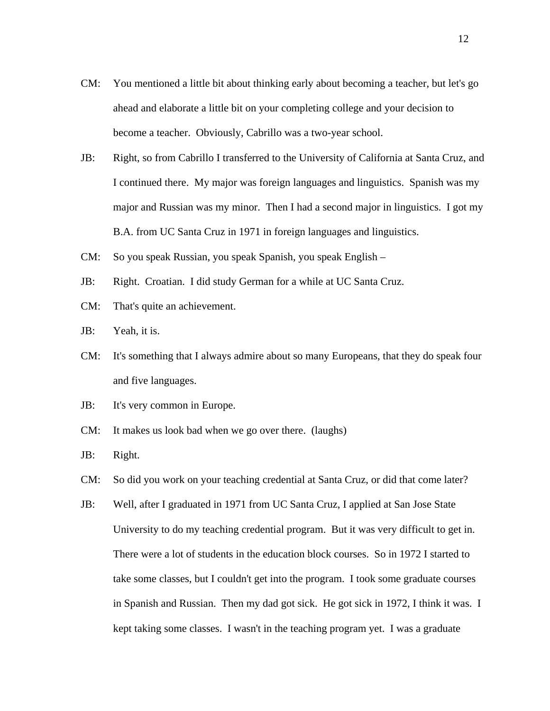- CM: You mentioned a little bit about thinking early about becoming a teacher, but let's go ahead and elaborate a little bit on your completing college and your decision to become a teacher. Obviously, Cabrillo was a two-year school.
- JB: Right, so from Cabrillo I transferred to the University of California at Santa Cruz, and I continued there. My major was foreign languages and linguistics. Spanish was my major and Russian was my minor. Then I had a second major in linguistics. I got my B.A. from UC Santa Cruz in 1971 in foreign languages and linguistics.
- CM: So you speak Russian, you speak Spanish, you speak English –
- JB: Right. Croatian. I did study German for a while at UC Santa Cruz.
- CM: That's quite an achievement.
- JB: Yeah, it is.
- CM: It's something that I always admire about so many Europeans, that they do speak four and five languages.
- JB: It's very common in Europe.
- CM: It makes us look bad when we go over there. (laughs)
- JB: Right.
- CM: So did you work on your teaching credential at Santa Cruz, or did that come later?
- JB: Well, after I graduated in 1971 from UC Santa Cruz, I applied at San Jose State University to do my teaching credential program. But it was very difficult to get in. There were a lot of students in the education block courses. So in 1972 I started to take some classes, but I couldn't get into the program. I took some graduate courses in Spanish and Russian. Then my dad got sick. He got sick in 1972, I think it was. I kept taking some classes. I wasn't in the teaching program yet. I was a graduate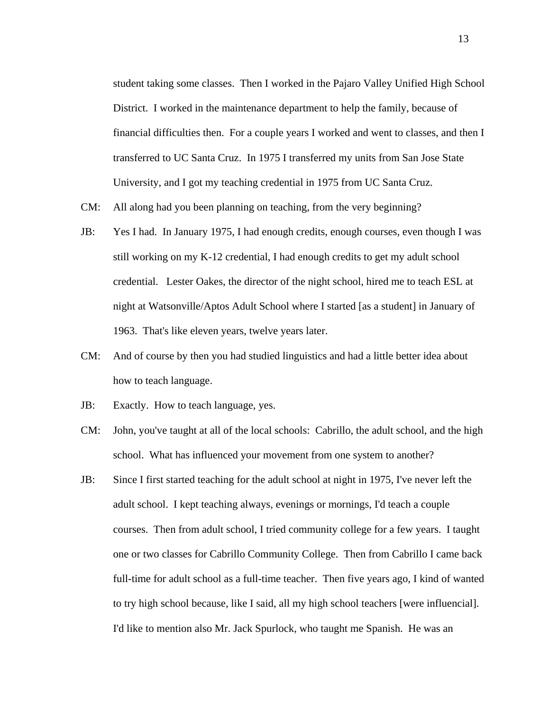student taking some classes. Then I worked in the Pajaro Valley Unified High School District. I worked in the maintenance department to help the family, because of financial difficulties then. For a couple years I worked and went to classes, and then I transferred to UC Santa Cruz. In 1975 I transferred my units from San Jose State University, and I got my teaching credential in 1975 from UC Santa Cruz.

- CM: All along had you been planning on teaching, from the very beginning?
- JB: Yes I had. In January 1975, I had enough credits, enough courses, even though I was still working on my K-12 credential, I had enough credits to get my adult school credential. Lester Oakes, the director of the night school, hired me to teach ESL at night at Watsonville/Aptos Adult School where I started [as a student] in January of 1963. That's like eleven years, twelve years later.
- CM: And of course by then you had studied linguistics and had a little better idea about how to teach language.
- JB: Exactly. How to teach language, yes.
- CM: John, you've taught at all of the local schools: Cabrillo, the adult school, and the high school. What has influenced your movement from one system to another?
- JB: Since I first started teaching for the adult school at night in 1975, I've never left the adult school. I kept teaching always, evenings or mornings, I'd teach a couple courses. Then from adult school, I tried community college for a few years. I taught one or two classes for Cabrillo Community College. Then from Cabrillo I came back full-time for adult school as a full-time teacher. Then five years ago, I kind of wanted to try high school because, like I said, all my high school teachers [were influencial]. I'd like to mention also Mr. Jack Spurlock, who taught me Spanish. He was an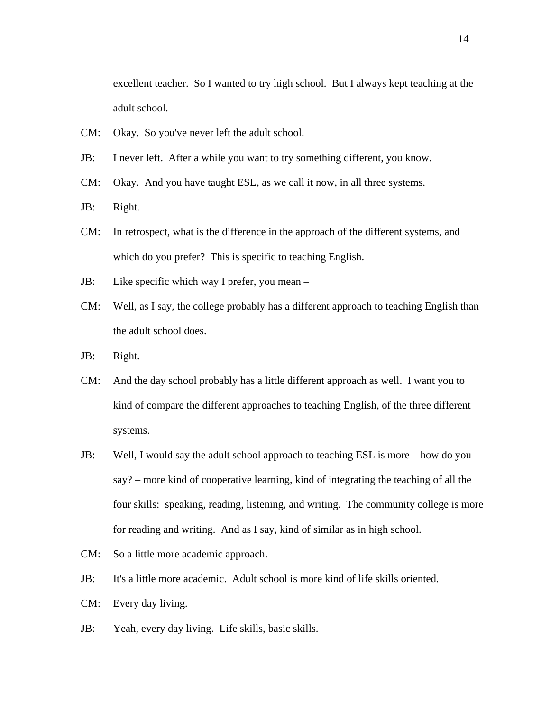excellent teacher. So I wanted to try high school. But I always kept teaching at the adult school.

- CM: Okay. So you've never left the adult school.
- JB: I never left. After a while you want to try something different, you know.
- CM: Okay. And you have taught ESL, as we call it now, in all three systems.
- JB: Right.
- CM: In retrospect, what is the difference in the approach of the different systems, and which do you prefer? This is specific to teaching English.
- JB: Like specific which way I prefer, you mean –
- CM: Well, as I say, the college probably has a different approach to teaching English than the adult school does.
- JB: Right.
- CM: And the day school probably has a little different approach as well. I want you to kind of compare the different approaches to teaching English, of the three different systems.
- JB: Well, I would say the adult school approach to teaching ESL is more how do you say? – more kind of cooperative learning, kind of integrating the teaching of all the four skills: speaking, reading, listening, and writing. The community college is more for reading and writing. And as I say, kind of similar as in high school.
- CM: So a little more academic approach.
- JB: It's a little more academic. Adult school is more kind of life skills oriented.
- CM: Every day living.
- JB: Yeah, every day living. Life skills, basic skills.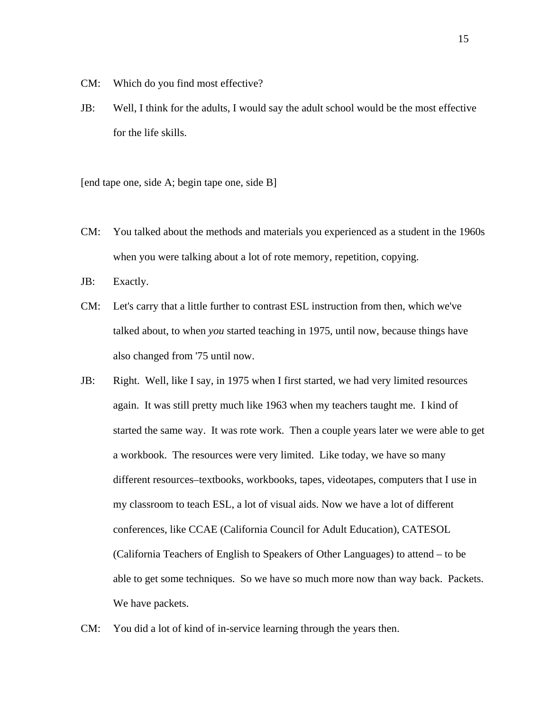- CM: Which do you find most effective?
- JB: Well, I think for the adults, I would say the adult school would be the most effective for the life skills.

[end tape one, side A; begin tape one, side B]

CM: You talked about the methods and materials you experienced as a student in the 1960s when you were talking about a lot of rote memory, repetition, copying.

JB: Exactly.

- CM: Let's carry that a little further to contrast ESL instruction from then, which we've talked about, to when *you* started teaching in 1975, until now, because things have also changed from '75 until now.
- JB: Right. Well, like I say, in 1975 when I first started, we had very limited resources again. It was still pretty much like 1963 when my teachers taught me. I kind of started the same way. It was rote work. Then a couple years later we were able to get a workbook. The resources were very limited. Like today, we have so many different resources–textbooks, workbooks, tapes, videotapes, computers that I use in my classroom to teach ESL, a lot of visual aids. Now we have a lot of different conferences, like CCAE (California Council for Adult Education), CATESOL (California Teachers of English to Speakers of Other Languages) to attend – to be able to get some techniques. So we have so much more now than way back. Packets. We have packets.
- CM: You did a lot of kind of in-service learning through the years then.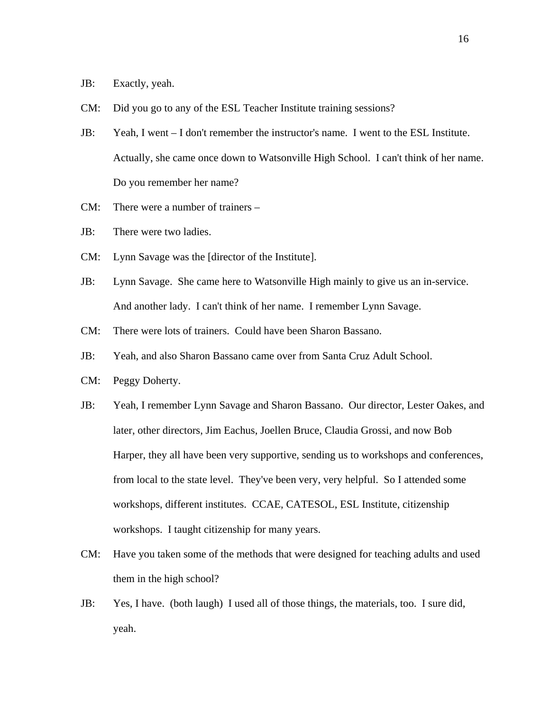JB: Exactly, yeah.

- CM: Did you go to any of the ESL Teacher Institute training sessions?
- JB: Yeah, I went I don't remember the instructor's name. I went to the ESL Institute. Actually, she came once down to Watsonville High School. I can't think of her name. Do you remember her name?
- CM: There were a number of trainers –
- JB: There were two ladies.
- CM: Lynn Savage was the [director of the Institute].
- JB: Lynn Savage. She came here to Watsonville High mainly to give us an in-service. And another lady. I can't think of her name. I remember Lynn Savage.
- CM: There were lots of trainers. Could have been Sharon Bassano.
- JB: Yeah, and also Sharon Bassano came over from Santa Cruz Adult School.
- CM: Peggy Doherty.
- JB: Yeah, I remember Lynn Savage and Sharon Bassano. Our director, Lester Oakes, and later, other directors, Jim Eachus, Joellen Bruce, Claudia Grossi, and now Bob Harper, they all have been very supportive, sending us to workshops and conferences, from local to the state level. They've been very, very helpful. So I attended some workshops, different institutes. CCAE, CATESOL, ESL Institute, citizenship workshops. I taught citizenship for many years.
- CM: Have you taken some of the methods that were designed for teaching adults and used them in the high school?
- JB: Yes, I have. (both laugh) I used all of those things, the materials, too. I sure did, yeah.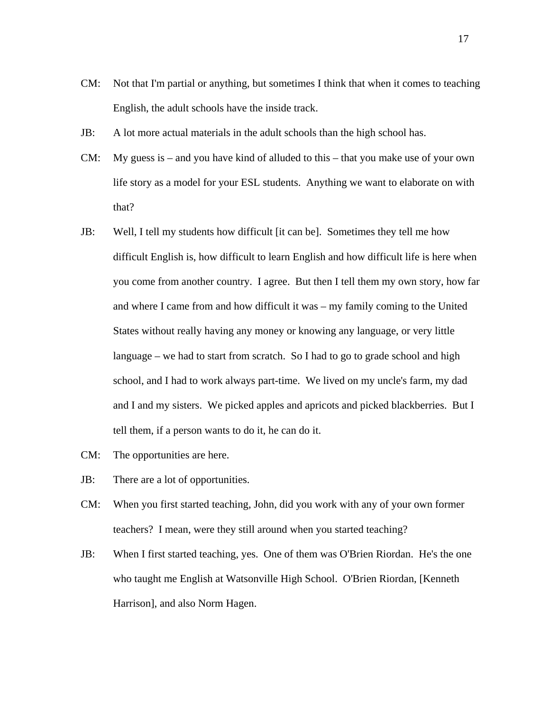- CM: Not that I'm partial or anything, but sometimes I think that when it comes to teaching English, the adult schools have the inside track.
- JB: A lot more actual materials in the adult schools than the high school has.
- CM: My guess is and you have kind of alluded to this that you make use of your own life story as a model for your ESL students. Anything we want to elaborate on with that?
- JB: Well, I tell my students how difficult [it can be]. Sometimes they tell me how difficult English is, how difficult to learn English and how difficult life is here when you come from another country. I agree. But then I tell them my own story, how far and where I came from and how difficult it was – my family coming to the United States without really having any money or knowing any language, or very little language – we had to start from scratch. So I had to go to grade school and high school, and I had to work always part-time. We lived on my uncle's farm, my dad and I and my sisters. We picked apples and apricots and picked blackberries. But I tell them, if a person wants to do it, he can do it.
- CM: The opportunities are here.
- JB: There are a lot of opportunities.
- CM: When you first started teaching, John, did you work with any of your own former teachers? I mean, were they still around when you started teaching?
- JB: When I first started teaching, yes. One of them was O'Brien Riordan. He's the one who taught me English at Watsonville High School. O'Brien Riordan, [Kenneth Harrison], and also Norm Hagen.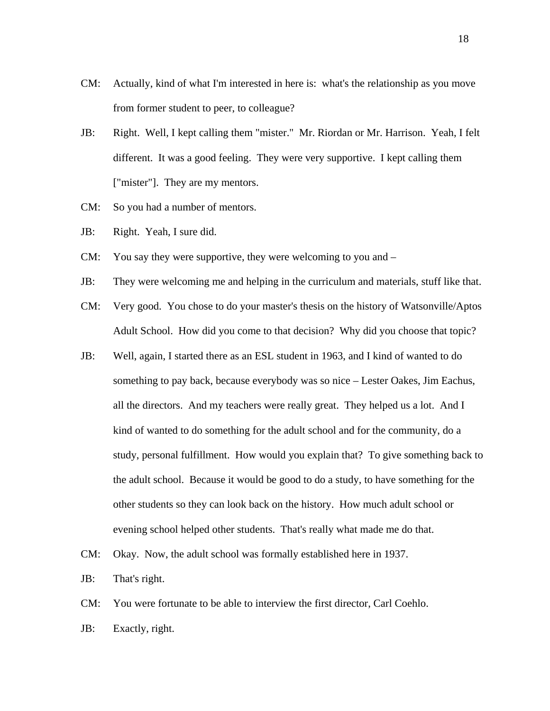- CM: Actually, kind of what I'm interested in here is: what's the relationship as you move from former student to peer, to colleague?
- JB: Right. Well, I kept calling them "mister." Mr. Riordan or Mr. Harrison. Yeah, I felt different. It was a good feeling. They were very supportive. I kept calling them ["mister"]. They are my mentors.
- CM: So you had a number of mentors.
- JB: Right. Yeah, I sure did.
- CM: You say they were supportive, they were welcoming to you and –
- JB: They were welcoming me and helping in the curriculum and materials, stuff like that.
- CM: Very good. You chose to do your master's thesis on the history of Watsonville/Aptos Adult School. How did you come to that decision? Why did you choose that topic?
- JB: Well, again, I started there as an ESL student in 1963, and I kind of wanted to do something to pay back, because everybody was so nice – Lester Oakes, Jim Eachus, all the directors. And my teachers were really great. They helped us a lot. And I kind of wanted to do something for the adult school and for the community, do a study, personal fulfillment. How would you explain that? To give something back to the adult school. Because it would be good to do a study, to have something for the other students so they can look back on the history. How much adult school or evening school helped other students. That's really what made me do that.
- CM: Okay. Now, the adult school was formally established here in 1937.
- JB: That's right.
- CM: You were fortunate to be able to interview the first director, Carl Coehlo.
- JB: Exactly, right.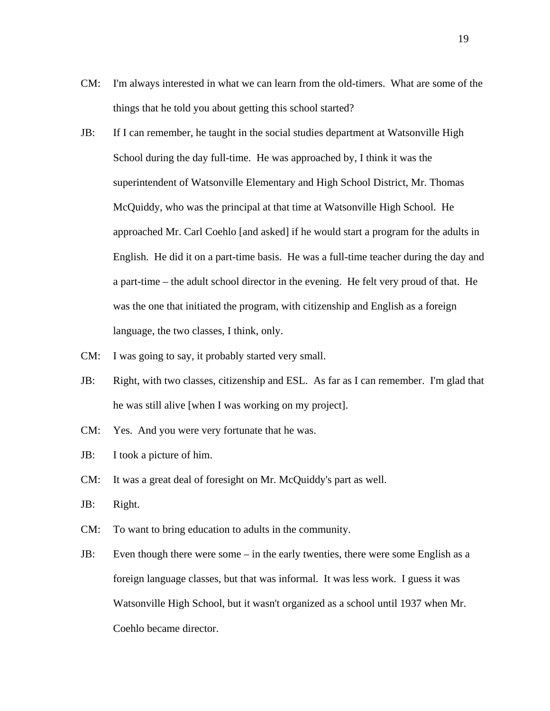- CM: I'm always interested in what we can learn from the old-timers. What are some of the things that he told you about getting this school started?
- JB: If I can remember, he taught in the social studies department at Watsonville High School during the day full-time. He was approached by, I think it was the superintendent of Watsonville Elementary and High School District, Mr. Thomas McQuiddy, who was the principal at that time at Watsonville High School. He approached Mr. Carl Coehlo [and asked] if he would start a program for the adults in English. He did it on a part-time basis. He was a full-time teacher during the day and a part-time – the adult school director in the evening. He felt very proud of that. He was the one that initiated the program, with citizenship and English as a foreign language, the two classes, I think, only.
- CM: I was going to say, it probably started very small.
- JB: Right, with two classes, citizenship and ESL. As far as I can remember. I'm glad that he was still alive [when I was working on my project].
- CM: Yes. And you were very fortunate that he was.
- JB: I took a picture of him.
- CM: It was a great deal of foresight on Mr. McQuiddy's part as well.
- JB: Right.
- CM: To want to bring education to adults in the community.
- JB: Even though there were some in the early twenties, there were some English as a foreign language classes, but that was informal. It was less work. I guess it was Watsonville High School, but it wasn't organized as a school until 1937 when Mr. Coehlo became director.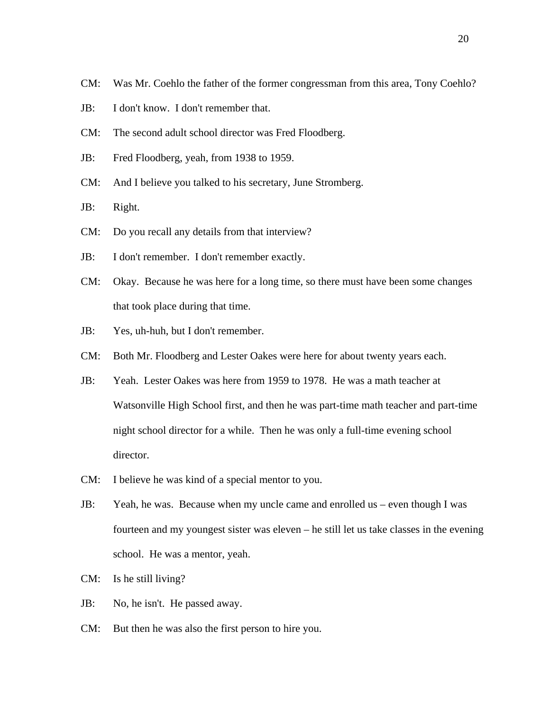- CM: Was Mr. Coehlo the father of the former congressman from this area, Tony Coehlo?
- JB: I don't know. I don't remember that.
- CM: The second adult school director was Fred Floodberg.
- JB: Fred Floodberg, yeah, from 1938 to 1959.
- CM: And I believe you talked to his secretary, June Stromberg.
- JB: Right.
- CM: Do you recall any details from that interview?
- JB: I don't remember. I don't remember exactly.
- CM: Okay. Because he was here for a long time, so there must have been some changes that took place during that time.
- JB: Yes, uh-huh, but I don't remember.
- CM: Both Mr. Floodberg and Lester Oakes were here for about twenty years each.
- JB: Yeah. Lester Oakes was here from 1959 to 1978. He was a math teacher at Watsonville High School first, and then he was part-time math teacher and part-time night school director for a while. Then he was only a full-time evening school director.
- CM: I believe he was kind of a special mentor to you.
- JB: Yeah, he was. Because when my uncle came and enrolled us even though I was fourteen and my youngest sister was eleven – he still let us take classes in the evening school. He was a mentor, yeah.
- CM: Is he still living?
- JB: No, he isn't. He passed away.
- CM: But then he was also the first person to hire you.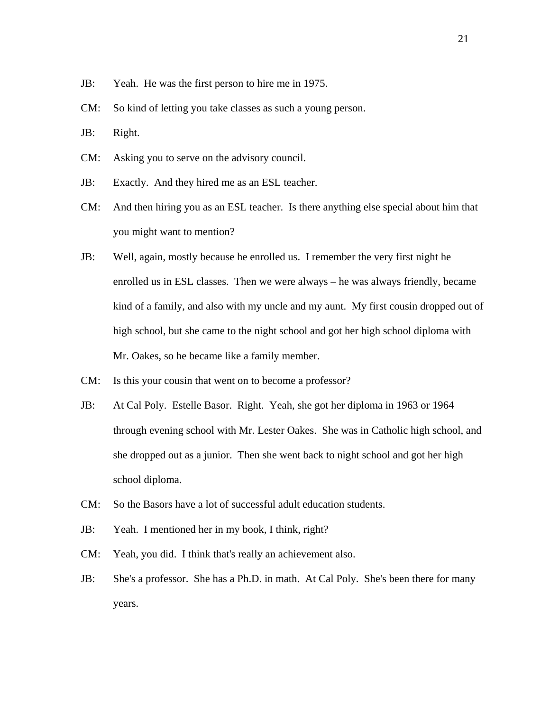- JB: Yeah. He was the first person to hire me in 1975.
- CM: So kind of letting you take classes as such a young person.
- JB: Right.
- CM: Asking you to serve on the advisory council.
- JB: Exactly. And they hired me as an ESL teacher.
- CM: And then hiring you as an ESL teacher. Is there anything else special about him that you might want to mention?
- JB: Well, again, mostly because he enrolled us. I remember the very first night he enrolled us in ESL classes. Then we were always – he was always friendly, became kind of a family, and also with my uncle and my aunt. My first cousin dropped out of high school, but she came to the night school and got her high school diploma with Mr. Oakes, so he became like a family member.
- CM: Is this your cousin that went on to become a professor?
- JB: At Cal Poly. Estelle Basor. Right. Yeah, she got her diploma in 1963 or 1964 through evening school with Mr. Lester Oakes. She was in Catholic high school, and she dropped out as a junior. Then she went back to night school and got her high school diploma.
- CM: So the Basors have a lot of successful adult education students.
- JB: Yeah. I mentioned her in my book, I think, right?
- CM: Yeah, you did. I think that's really an achievement also.
- JB: She's a professor. She has a Ph.D. in math. At Cal Poly. She's been there for many years.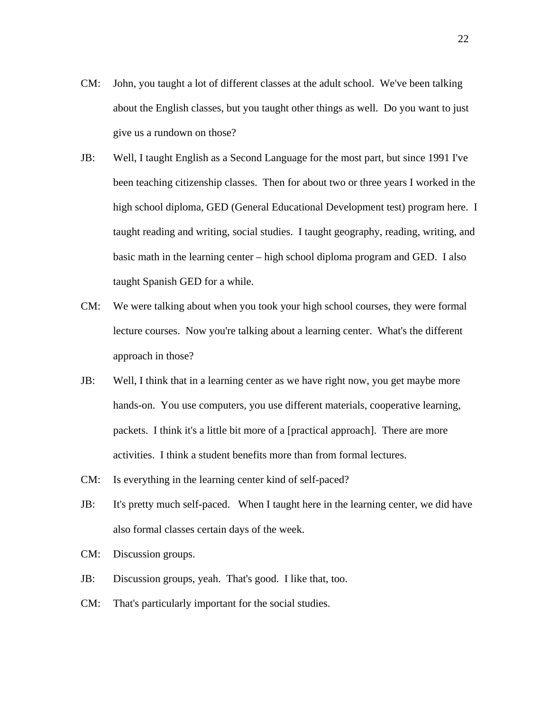- CM: John, you taught a lot of different classes at the adult school. We've been talking about the English classes, but you taught other things as well. Do you want to just give us a rundown on those?
- JB: Well, I taught English as a Second Language for the most part, but since 1991 I've been teaching citizenship classes. Then for about two or three years I worked in the high school diploma, GED (General Educational Development test) program here. I taught reading and writing, social studies. I taught geography, reading, writing, and basic math in the learning center – high school diploma program and GED. I also taught Spanish GED for a while.
- CM: We were talking about when you took your high school courses, they were formal lecture courses. Now you're talking about a learning center. What's the different approach in those?
- JB: Well, I think that in a learning center as we have right now, you get maybe more hands-on. You use computers, you use different materials, cooperative learning, packets. I think it's a little bit more of a [practical approach]. There are more activities. I think a student benefits more than from formal lectures.
- CM: Is everything in the learning center kind of self-paced?
- JB: It's pretty much self-paced. When I taught here in the learning center, we did have also formal classes certain days of the week.
- CM: Discussion groups.
- JB: Discussion groups, yeah. That's good. I like that, too.
- CM: That's particularly important for the social studies.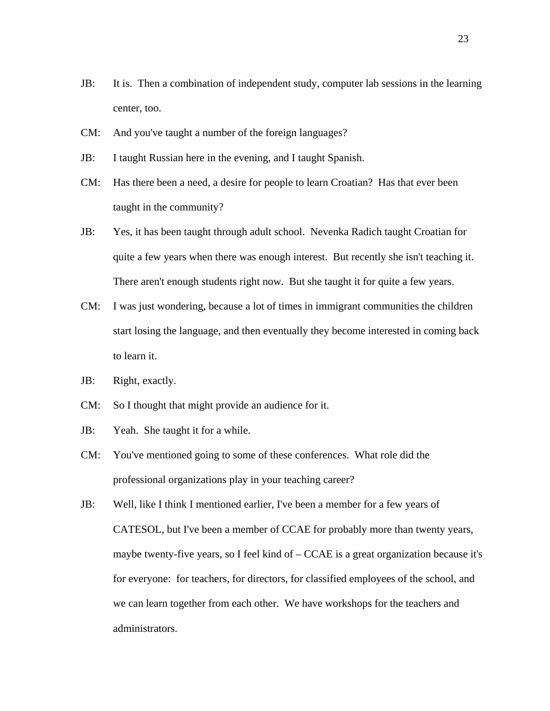- JB: It is. Then a combination of independent study, computer lab sessions in the learning center, too.
- CM: And you've taught a number of the foreign languages?
- JB: I taught Russian here in the evening, and I taught Spanish.
- CM: Has there been a need, a desire for people to learn Croatian? Has that ever been taught in the community?
- JB: Yes, it has been taught through adult school. Nevenka Radich taught Croatian for quite a few years when there was enough interest. But recently she isn't teaching it. There aren't enough students right now. But she taught it for quite a few years.
- CM: I was just wondering, because a lot of times in immigrant communities the children start losing the language, and then eventually they become interested in coming back to learn it.
- JB: Right, exactly.
- CM: So I thought that might provide an audience for it.
- JB: Yeah. She taught it for a while.
- CM: You've mentioned going to some of these conferences. What role did the professional organizations play in your teaching career?
- JB: Well, like I think I mentioned earlier, I've been a member for a few years of CATESOL, but I've been a member of CCAE for probably more than twenty years, maybe twenty-five years, so I feel kind of  $-$  CCAE is a great organization because it's for everyone: for teachers, for directors, for classified employees of the school, and we can learn together from each other. We have workshops for the teachers and administrators.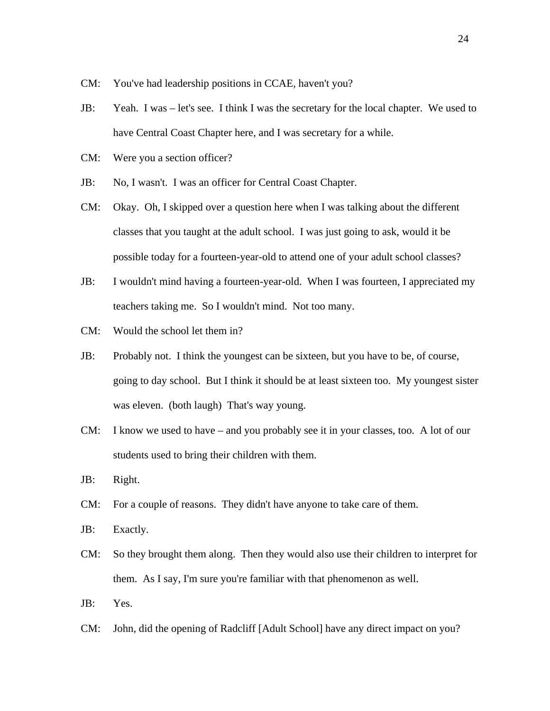- CM: You've had leadership positions in CCAE, haven't you?
- JB: Yeah. I was let's see. I think I was the secretary for the local chapter. We used to have Central Coast Chapter here, and I was secretary for a while.
- CM: Were you a section officer?
- JB: No, I wasn't. I was an officer for Central Coast Chapter.
- CM: Okay. Oh, I skipped over a question here when I was talking about the different classes that you taught at the adult school. I was just going to ask, would it be possible today for a fourteen-year-old to attend one of your adult school classes?
- JB: I wouldn't mind having a fourteen-year-old. When I was fourteen, I appreciated my teachers taking me. So I wouldn't mind. Not too many.
- CM: Would the school let them in?
- JB: Probably not. I think the youngest can be sixteen, but you have to be, of course, going to day school. But I think it should be at least sixteen too. My youngest sister was eleven. (both laugh) That's way young.
- CM: I know we used to have and you probably see it in your classes, too. A lot of our students used to bring their children with them.
- JB: Right.
- CM: For a couple of reasons. They didn't have anyone to take care of them.
- JB: Exactly.
- CM: So they brought them along. Then they would also use their children to interpret for them. As I say, I'm sure you're familiar with that phenomenon as well.
- JB: Yes.
- CM: John, did the opening of Radcliff [Adult School] have any direct impact on you?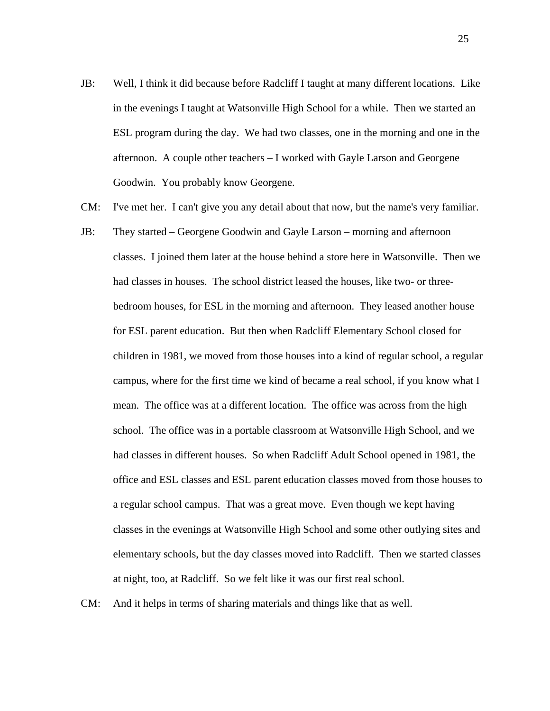- JB: Well, I think it did because before Radcliff I taught at many different locations. Like in the evenings I taught at Watsonville High School for a while. Then we started an ESL program during the day. We had two classes, one in the morning and one in the afternoon. A couple other teachers – I worked with Gayle Larson and Georgene Goodwin. You probably know Georgene.
- CM: I've met her. I can't give you any detail about that now, but the name's very familiar.
- JB: They started Georgene Goodwin and Gayle Larson morning and afternoon classes. I joined them later at the house behind a store here in Watsonville. Then we had classes in houses. The school district leased the houses, like two- or threebedroom houses, for ESL in the morning and afternoon. They leased another house for ESL parent education. But then when Radcliff Elementary School closed for children in 1981, we moved from those houses into a kind of regular school, a regular campus, where for the first time we kind of became a real school, if you know what I mean. The office was at a different location. The office was across from the high school. The office was in a portable classroom at Watsonville High School, and we had classes in different houses. So when Radcliff Adult School opened in 1981, the office and ESL classes and ESL parent education classes moved from those houses to a regular school campus. That was a great move. Even though we kept having classes in the evenings at Watsonville High School and some other outlying sites and elementary schools, but the day classes moved into Radcliff. Then we started classes at night, too, at Radcliff. So we felt like it was our first real school.
- CM: And it helps in terms of sharing materials and things like that as well.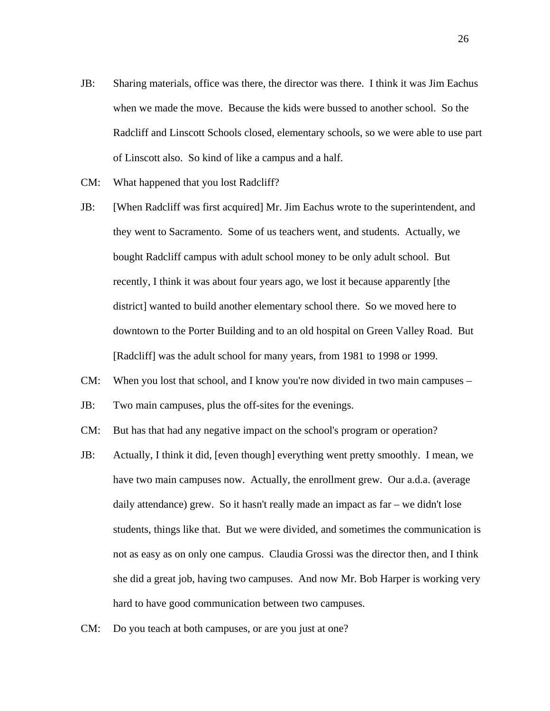- JB: Sharing materials, office was there, the director was there. I think it was Jim Eachus when we made the move. Because the kids were bussed to another school. So the Radcliff and Linscott Schools closed, elementary schools, so we were able to use part of Linscott also. So kind of like a campus and a half.
- CM: What happened that you lost Radcliff?
- JB: [When Radcliff was first acquired] Mr. Jim Eachus wrote to the superintendent, and they went to Sacramento. Some of us teachers went, and students. Actually, we bought Radcliff campus with adult school money to be only adult school. But recently, I think it was about four years ago, we lost it because apparently [the district] wanted to build another elementary school there. So we moved here to downtown to the Porter Building and to an old hospital on Green Valley Road. But [Radcliff] was the adult school for many years, from 1981 to 1998 or 1999.
- CM: When you lost that school, and I know you're now divided in two main campuses –
- JB: Two main campuses, plus the off-sites for the evenings.
- CM: But has that had any negative impact on the school's program or operation?
- JB: Actually, I think it did, [even though] everything went pretty smoothly. I mean, we have two main campuses now. Actually, the enrollment grew. Our a.d.a. (average daily attendance) grew. So it hasn't really made an impact as far – we didn't lose students, things like that. But we were divided, and sometimes the communication is not as easy as on only one campus. Claudia Grossi was the director then, and I think she did a great job, having two campuses. And now Mr. Bob Harper is working very hard to have good communication between two campuses.
- CM: Do you teach at both campuses, or are you just at one?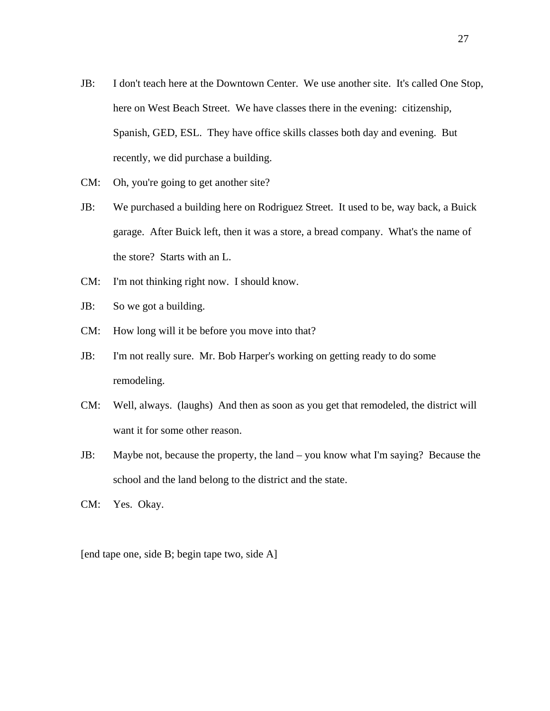- JB: I don't teach here at the Downtown Center. We use another site. It's called One Stop, here on West Beach Street. We have classes there in the evening: citizenship, Spanish, GED, ESL. They have office skills classes both day and evening. But recently, we did purchase a building.
- CM: Oh, you're going to get another site?
- JB: We purchased a building here on Rodriguez Street. It used to be, way back, a Buick garage. After Buick left, then it was a store, a bread company. What's the name of the store? Starts with an L.
- CM: I'm not thinking right now. I should know.
- JB: So we got a building.
- CM: How long will it be before you move into that?
- JB: I'm not really sure. Mr. Bob Harper's working on getting ready to do some remodeling.
- CM: Well, always. (laughs) And then as soon as you get that remodeled, the district will want it for some other reason.
- JB: Maybe not, because the property, the land you know what I'm saying? Because the school and the land belong to the district and the state.
- CM: Yes. Okay.

[end tape one, side B; begin tape two, side A]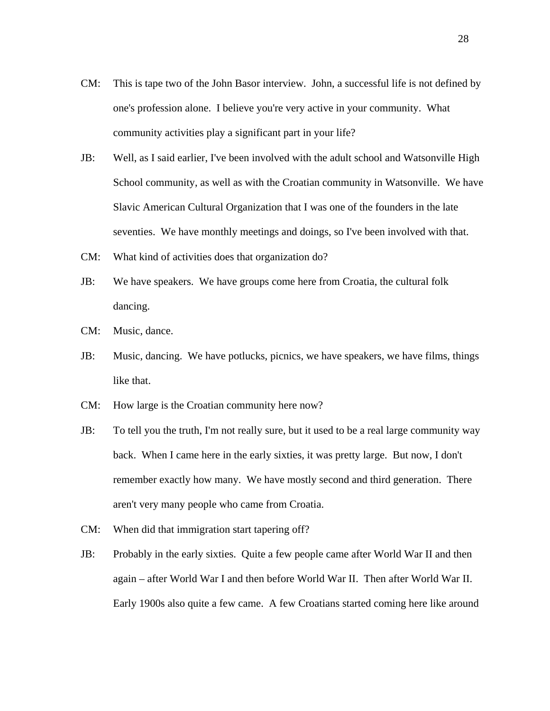- CM: This is tape two of the John Basor interview. John, a successful life is not defined by one's profession alone. I believe you're very active in your community. What community activities play a significant part in your life?
- JB: Well, as I said earlier, I've been involved with the adult school and Watsonville High School community, as well as with the Croatian community in Watsonville. We have Slavic American Cultural Organization that I was one of the founders in the late seventies. We have monthly meetings and doings, so I've been involved with that.
- CM: What kind of activities does that organization do?
- JB: We have speakers. We have groups come here from Croatia, the cultural folk dancing.
- CM: Music, dance.
- JB: Music, dancing. We have potlucks, picnics, we have speakers, we have films, things like that.
- CM: How large is the Croatian community here now?
- JB: To tell you the truth, I'm not really sure, but it used to be a real large community way back. When I came here in the early sixties, it was pretty large. But now, I don't remember exactly how many. We have mostly second and third generation. There aren't very many people who came from Croatia.
- CM: When did that immigration start tapering off?
- JB: Probably in the early sixties. Quite a few people came after World War II and then again – after World War I and then before World War II. Then after World War II. Early 1900s also quite a few came. A few Croatians started coming here like around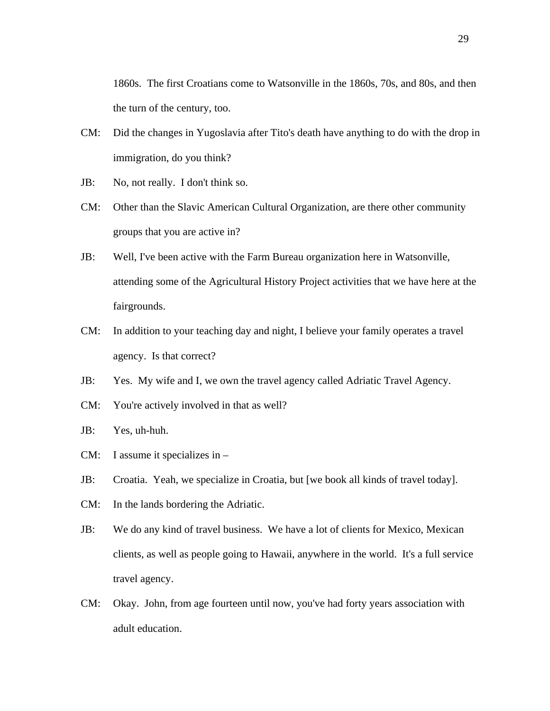1860s. The first Croatians come to Watsonville in the 1860s, 70s, and 80s, and then the turn of the century, too.

- CM: Did the changes in Yugoslavia after Tito's death have anything to do with the drop in immigration, do you think?
- JB: No, not really. I don't think so.
- CM: Other than the Slavic American Cultural Organization, are there other community groups that you are active in?
- JB: Well, I've been active with the Farm Bureau organization here in Watsonville, attending some of the Agricultural History Project activities that we have here at the fairgrounds.
- CM: In addition to your teaching day and night, I believe your family operates a travel agency. Is that correct?
- JB: Yes. My wife and I, we own the travel agency called Adriatic Travel Agency.
- CM: You're actively involved in that as well?
- JB: Yes, uh-huh.
- CM: I assume it specializes in –
- JB: Croatia. Yeah, we specialize in Croatia, but [we book all kinds of travel today].
- CM: In the lands bordering the Adriatic.
- JB: We do any kind of travel business. We have a lot of clients for Mexico, Mexican clients, as well as people going to Hawaii, anywhere in the world. It's a full service travel agency.
- CM: Okay. John, from age fourteen until now, you've had forty years association with adult education.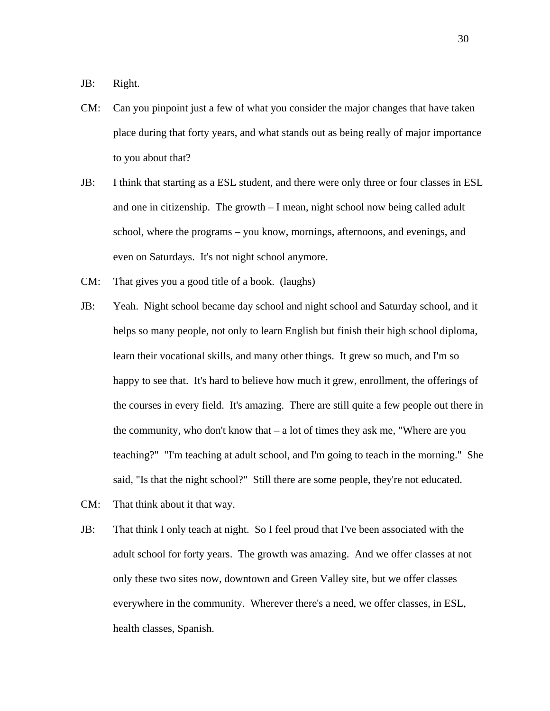JB: Right.

- CM: Can you pinpoint just a few of what you consider the major changes that have taken place during that forty years, and what stands out as being really of major importance to you about that?
- JB: I think that starting as a ESL student, and there were only three or four classes in ESL and one in citizenship. The growth – I mean, night school now being called adult school, where the programs – you know, mornings, afternoons, and evenings, and even on Saturdays. It's not night school anymore.
- CM: That gives you a good title of a book. (laughs)
- JB: Yeah. Night school became day school and night school and Saturday school, and it helps so many people, not only to learn English but finish their high school diploma, learn their vocational skills, and many other things. It grew so much, and I'm so happy to see that. It's hard to believe how much it grew, enrollment, the offerings of the courses in every field. It's amazing. There are still quite a few people out there in the community, who don't know that – a lot of times they ask me, "Where are you teaching?" "I'm teaching at adult school, and I'm going to teach in the morning." She said, "Is that the night school?" Still there are some people, they're not educated.
- CM: That think about it that way.
- JB: That think I only teach at night. So I feel proud that I've been associated with the adult school for forty years. The growth was amazing. And we offer classes at not only these two sites now, downtown and Green Valley site, but we offer classes everywhere in the community. Wherever there's a need, we offer classes, in ESL, health classes, Spanish.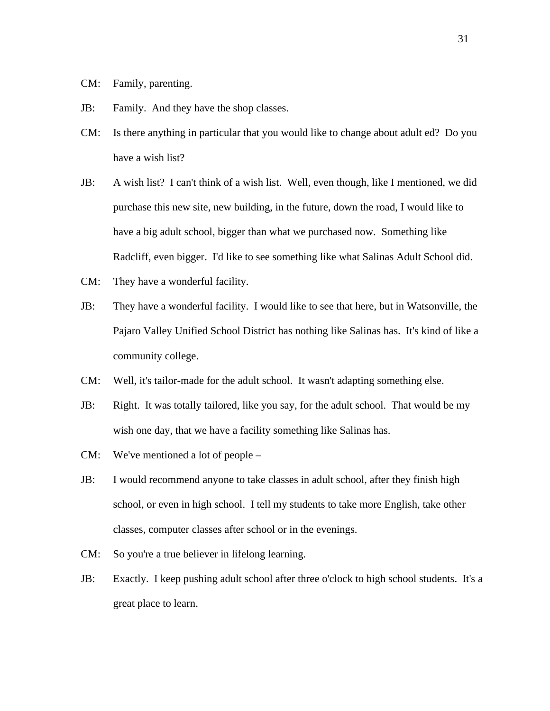- CM: Family, parenting.
- JB: Family. And they have the shop classes.
- CM: Is there anything in particular that you would like to change about adult ed? Do you have a wish list?
- JB: A wish list? I can't think of a wish list. Well, even though, like I mentioned, we did purchase this new site, new building, in the future, down the road, I would like to have a big adult school, bigger than what we purchased now. Something like Radcliff, even bigger. I'd like to see something like what Salinas Adult School did.
- CM: They have a wonderful facility.
- JB: They have a wonderful facility. I would like to see that here, but in Watsonville, the Pajaro Valley Unified School District has nothing like Salinas has. It's kind of like a community college.
- CM: Well, it's tailor-made for the adult school. It wasn't adapting something else.
- JB: Right. It was totally tailored, like you say, for the adult school. That would be my wish one day, that we have a facility something like Salinas has.
- CM: We've mentioned a lot of people –
- JB: I would recommend anyone to take classes in adult school, after they finish high school, or even in high school. I tell my students to take more English, take other classes, computer classes after school or in the evenings.
- CM: So you're a true believer in lifelong learning.
- JB: Exactly. I keep pushing adult school after three o'clock to high school students. It's a great place to learn.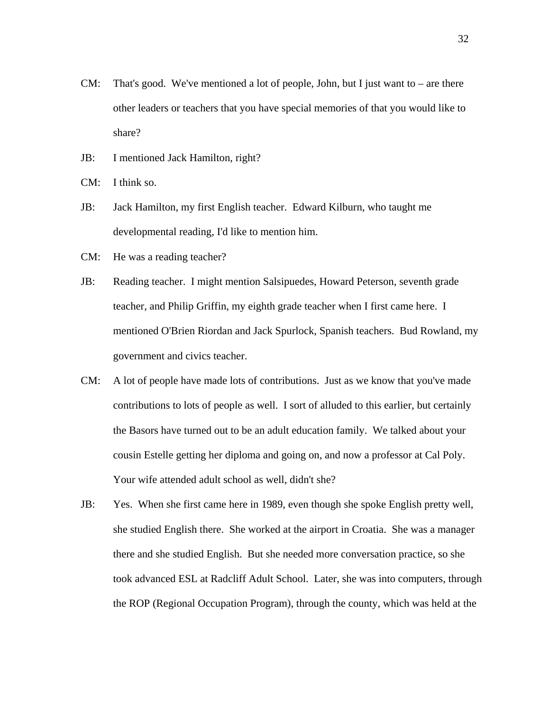- CM: That's good. We've mentioned a lot of people, John, but I just want to are there other leaders or teachers that you have special memories of that you would like to share?
- JB: I mentioned Jack Hamilton, right?
- CM: I think so.
- JB: Jack Hamilton, my first English teacher. Edward Kilburn, who taught me developmental reading, I'd like to mention him.
- CM: He was a reading teacher?
- JB: Reading teacher. I might mention Salsipuedes, Howard Peterson, seventh grade teacher, and Philip Griffin, my eighth grade teacher when I first came here. I mentioned O'Brien Riordan and Jack Spurlock, Spanish teachers. Bud Rowland, my government and civics teacher.
- CM: A lot of people have made lots of contributions. Just as we know that you've made contributions to lots of people as well. I sort of alluded to this earlier, but certainly the Basors have turned out to be an adult education family. We talked about your cousin Estelle getting her diploma and going on, and now a professor at Cal Poly. Your wife attended adult school as well, didn't she?
- JB: Yes. When she first came here in 1989, even though she spoke English pretty well, she studied English there. She worked at the airport in Croatia. She was a manager there and she studied English. But she needed more conversation practice, so she took advanced ESL at Radcliff Adult School. Later, she was into computers, through the ROP (Regional Occupation Program), through the county, which was held at the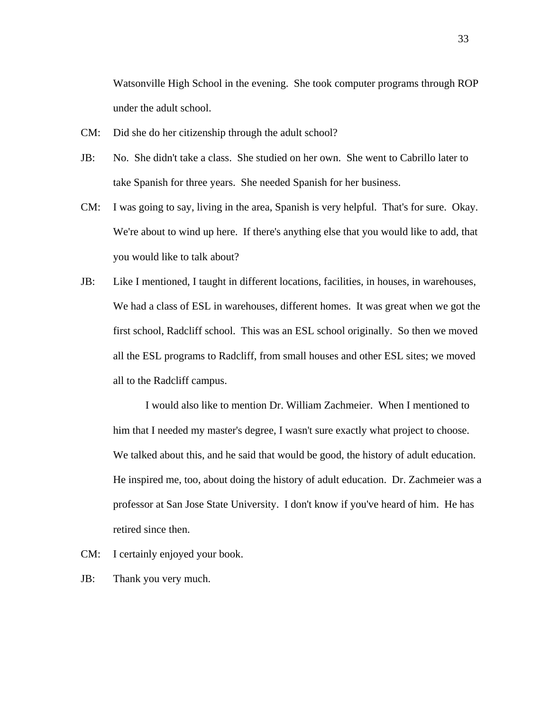Watsonville High School in the evening. She took computer programs through ROP under the adult school.

- CM: Did she do her citizenship through the adult school?
- JB: No. She didn't take a class. She studied on her own. She went to Cabrillo later to take Spanish for three years. She needed Spanish for her business.
- CM: I was going to say, living in the area, Spanish is very helpful. That's for sure. Okay. We're about to wind up here. If there's anything else that you would like to add, that you would like to talk about?
- JB: Like I mentioned, I taught in different locations, facilities, in houses, in warehouses, We had a class of ESL in warehouses, different homes. It was great when we got the first school, Radcliff school. This was an ESL school originally. So then we moved all the ESL programs to Radcliff, from small houses and other ESL sites; we moved all to the Radcliff campus.

I would also like to mention Dr. William Zachmeier. When I mentioned to him that I needed my master's degree, I wasn't sure exactly what project to choose. We talked about this, and he said that would be good, the history of adult education. He inspired me, too, about doing the history of adult education. Dr. Zachmeier was a professor at San Jose State University. I don't know if you've heard of him. He has retired since then.

- CM: I certainly enjoyed your book.
- JB: Thank you very much.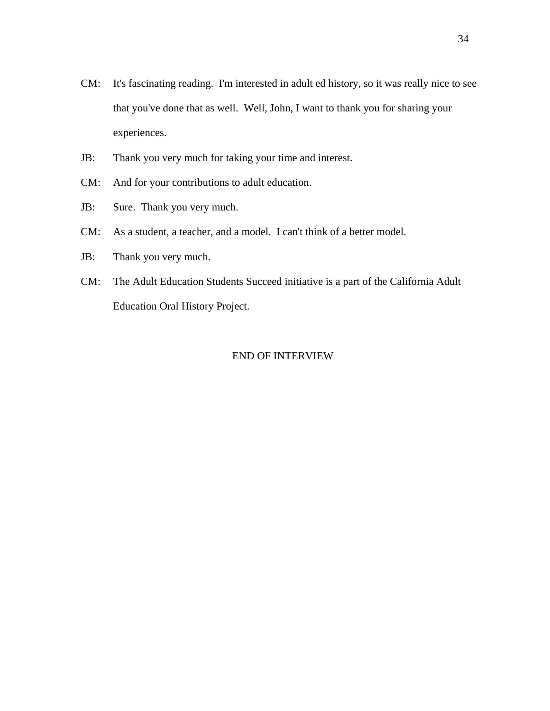- CM: It's fascinating reading. I'm interested in adult ed history, so it was really nice to see that you've done that as well. Well, John, I want to thank you for sharing your experiences.
- JB: Thank you very much for taking your time and interest.
- CM: And for your contributions to adult education.
- JB: Sure. Thank you very much.
- CM: As a student, a teacher, and a model. I can't think of a better model.
- JB: Thank you very much.
- CM: The Adult Education Students Succeed initiative is a part of the California Adult Education Oral History Project.

#### END OF INTERVIEW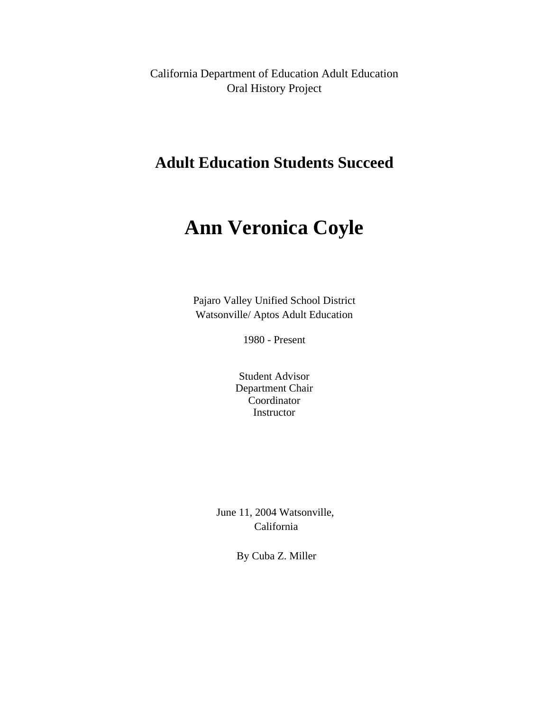<span id="page-42-0"></span>California Department of Education Adult Education Oral History Project

# **Adult Education Students Succeed**

# **Ann Veronica Coyle**

Pajaro Valley Unified School District Watsonville/ Aptos Adult Education

1980 - Present

Student Advisor Department Chair Coordinator **Instructor** 

June 11, 2004 Watsonville, California

By Cuba Z. Miller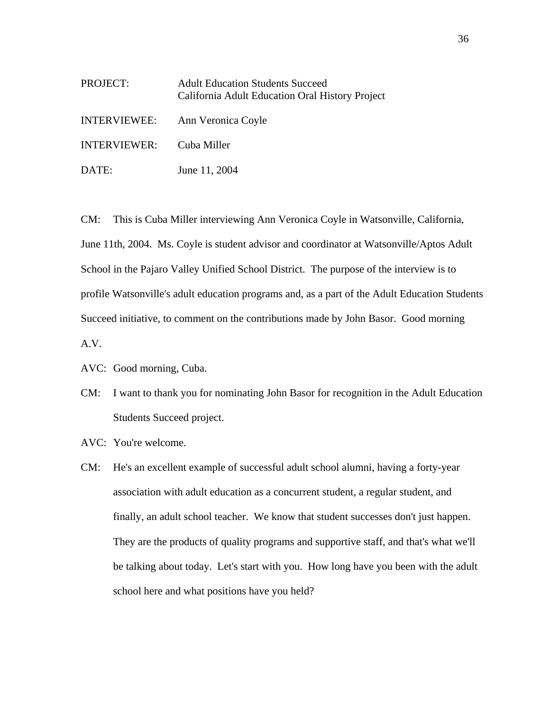| PROJECT:     | <b>Adult Education Students Succeed</b><br>California Adult Education Oral History Project |
|--------------|--------------------------------------------------------------------------------------------|
| INTERVIEWEE: | Ann Veronica Coyle                                                                         |
| INTERVIEWER: | Cuba Miller                                                                                |
| DATE:        | June 11, 2004                                                                              |

CM: This is Cuba Miller interviewing Ann Veronica Coyle in Watsonville, California, June 11th, 2004. Ms. Coyle is student advisor and coordinator at Watsonville/Aptos Adult School in the Pajaro Valley Unified School District. The purpose of the interview is to profile Watsonville's adult education programs and, as a part of the Adult Education Students Succeed initiative, to comment on the contributions made by John Basor. Good morning A.V.

AVC: Good morning, Cuba.

- CM: I want to thank you for nominating John Basor for recognition in the Adult Education Students Succeed project.
- AVC: You're welcome.
- CM: He's an excellent example of successful adult school alumni, having a forty-year association with adult education as a concurrent student, a regular student, and finally, an adult school teacher. We know that student successes don't just happen. They are the products of quality programs and supportive staff, and that's what we'll be talking about today. Let's start with you. How long have you been with the adult school here and what positions have you held?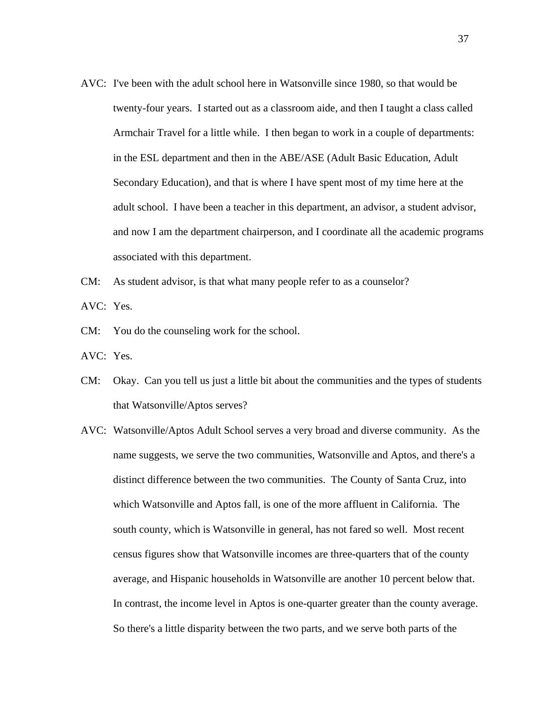- AVC: I've been with the adult school here in Watsonville since 1980, so that would be twenty-four years. I started out as a classroom aide, and then I taught a class called Armchair Travel for a little while. I then began to work in a couple of departments: in the ESL department and then in the ABE/ASE (Adult Basic Education, Adult Secondary Education), and that is where I have spent most of my time here at the adult school. I have been a teacher in this department, an advisor, a student advisor, and now I am the department chairperson, and I coordinate all the academic programs associated with this department.
- CM: As student advisor, is that what many people refer to as a counselor? AVC: Yes.
- CM: You do the counseling work for the school.
- AVC: Yes.
- CM: Okay. Can you tell us just a little bit about the communities and the types of students that Watsonville/Aptos serves?
- AVC: Watsonville/Aptos Adult School serves a very broad and diverse community. As the name suggests, we serve the two communities, Watsonville and Aptos, and there's a distinct difference between the two communities. The County of Santa Cruz, into which Watsonville and Aptos fall, is one of the more affluent in California. The south county, which is Watsonville in general, has not fared so well. Most recent census figures show that Watsonville incomes are three-quarters that of the county average, and Hispanic households in Watsonville are another 10 percent below that. In contrast, the income level in Aptos is one-quarter greater than the county average. So there's a little disparity between the two parts, and we serve both parts of the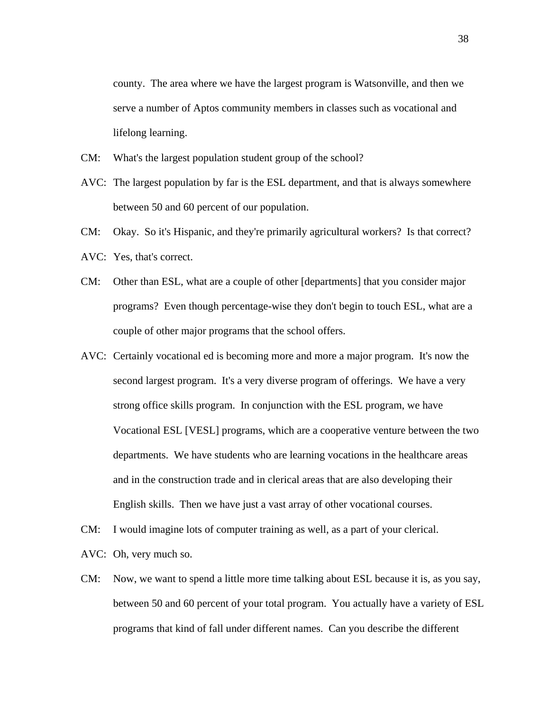county. The area where we have the largest program is Watsonville, and then we serve a number of Aptos community members in classes such as vocational and lifelong learning.

- CM: What's the largest population student group of the school?
- AVC: The largest population by far is the ESL department, and that is always somewhere between 50 and 60 percent of our population.
- CM: Okay. So it's Hispanic, and they're primarily agricultural workers? Is that correct?
- AVC: Yes, that's correct.
- CM: Other than ESL, what are a couple of other [departments] that you consider major programs? Even though percentage-wise they don't begin to touch ESL, what are a couple of other major programs that the school offers.
- AVC: Certainly vocational ed is becoming more and more a major program. It's now the second largest program. It's a very diverse program of offerings. We have a very strong office skills program. In conjunction with the ESL program, we have Vocational ESL [VESL] programs, which are a cooperative venture between the two departments. We have students who are learning vocations in the healthcare areas and in the construction trade and in clerical areas that are also developing their English skills. Then we have just a vast array of other vocational courses.
- CM: I would imagine lots of computer training as well, as a part of your clerical.
- AVC: Oh, very much so.
- CM: Now, we want to spend a little more time talking about ESL because it is, as you say, between 50 and 60 percent of your total program. You actually have a variety of ESL programs that kind of fall under different names. Can you describe the different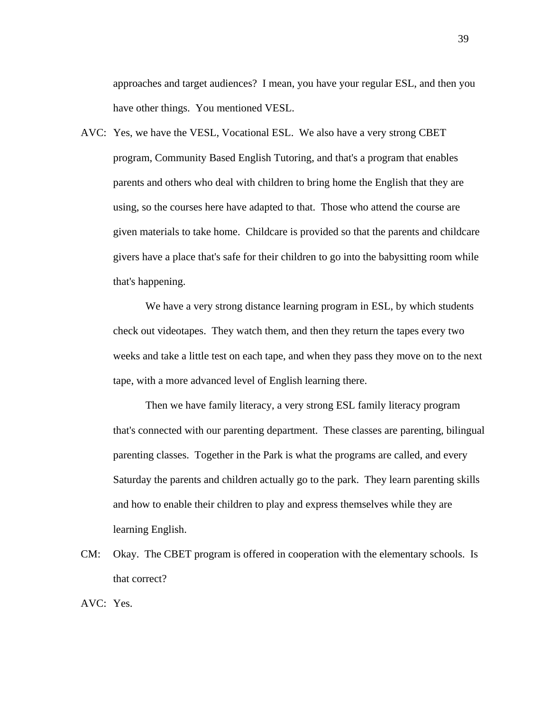approaches and target audiences? I mean, you have your regular ESL, and then you have other things. You mentioned VESL.

AVC: Yes, we have the VESL, Vocational ESL. We also have a very strong CBET program, Community Based English Tutoring, and that's a program that enables parents and others who deal with children to bring home the English that they are using, so the courses here have adapted to that. Those who attend the course are given materials to take home. Childcare is provided so that the parents and childcare givers have a place that's safe for their children to go into the babysitting room while that's happening.

We have a very strong distance learning program in ESL, by which students check out videotapes. They watch them, and then they return the tapes every two weeks and take a little test on each tape, and when they pass they move on to the next tape, with a more advanced level of English learning there.

Then we have family literacy, a very strong ESL family literacy program that's connected with our parenting department. These classes are parenting, bilingual parenting classes. Together in the Park is what the programs are called, and every Saturday the parents and children actually go to the park. They learn parenting skills and how to enable their children to play and express themselves while they are learning English.

CM: Okay. The CBET program is offered in cooperation with the elementary schools. Is that correct?

AVC: Yes.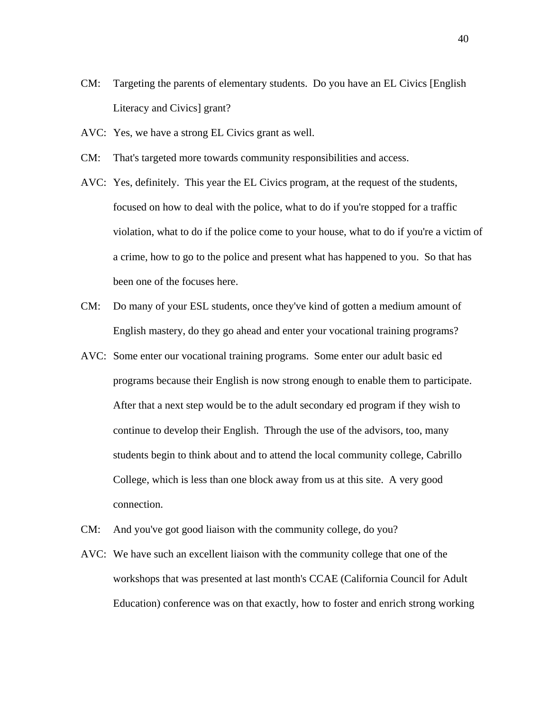- CM: Targeting the parents of elementary students. Do you have an EL Civics [English Literacy and Civics] grant?
- AVC: Yes, we have a strong EL Civics grant as well.
- CM: That's targeted more towards community responsibilities and access.
- AVC: Yes, definitely. This year the EL Civics program, at the request of the students, focused on how to deal with the police, what to do if you're stopped for a traffic violation, what to do if the police come to your house, what to do if you're a victim of a crime, how to go to the police and present what has happened to you. So that has been one of the focuses here.
- CM: Do many of your ESL students, once they've kind of gotten a medium amount of English mastery, do they go ahead and enter your vocational training programs?
- AVC: Some enter our vocational training programs. Some enter our adult basic ed programs because their English is now strong enough to enable them to participate. After that a next step would be to the adult secondary ed program if they wish to continue to develop their English. Through the use of the advisors, too, many students begin to think about and to attend the local community college, Cabrillo College, which is less than one block away from us at this site. A very good connection.
- CM: And you've got good liaison with the community college, do you?
- AVC: We have such an excellent liaison with the community college that one of the workshops that was presented at last month's CCAE (California Council for Adult Education) conference was on that exactly, how to foster and enrich strong working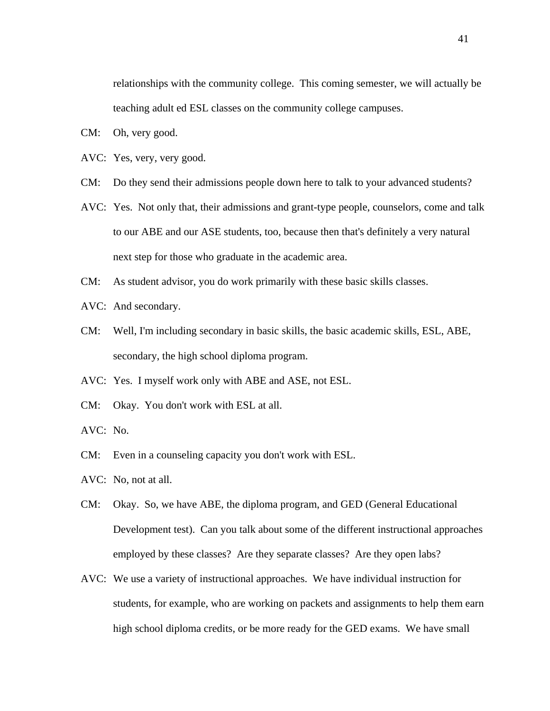relationships with the community college. This coming semester, we will actually be teaching adult ed ESL classes on the community college campuses.

- CM: Oh, very good.
- AVC: Yes, very, very good.
- CM: Do they send their admissions people down here to talk to your advanced students?
- AVC: Yes. Not only that, their admissions and grant-type people, counselors, come and talk to our ABE and our ASE students, too, because then that's definitely a very natural next step for those who graduate in the academic area.
- CM: As student advisor, you do work primarily with these basic skills classes.
- AVC: And secondary.
- CM: Well, I'm including secondary in basic skills, the basic academic skills, ESL, ABE, secondary, the high school diploma program.
- AVC: Yes. I myself work only with ABE and ASE, not ESL.
- CM: Okay. You don't work with ESL at all.
- AVC: No.
- CM: Even in a counseling capacity you don't work with ESL.
- AVC: No, not at all.
- CM: Okay. So, we have ABE, the diploma program, and GED (General Educational Development test). Can you talk about some of the different instructional approaches employed by these classes? Are they separate classes? Are they open labs?
- AVC: We use a variety of instructional approaches. We have individual instruction for students, for example, who are working on packets and assignments to help them earn high school diploma credits, or be more ready for the GED exams. We have small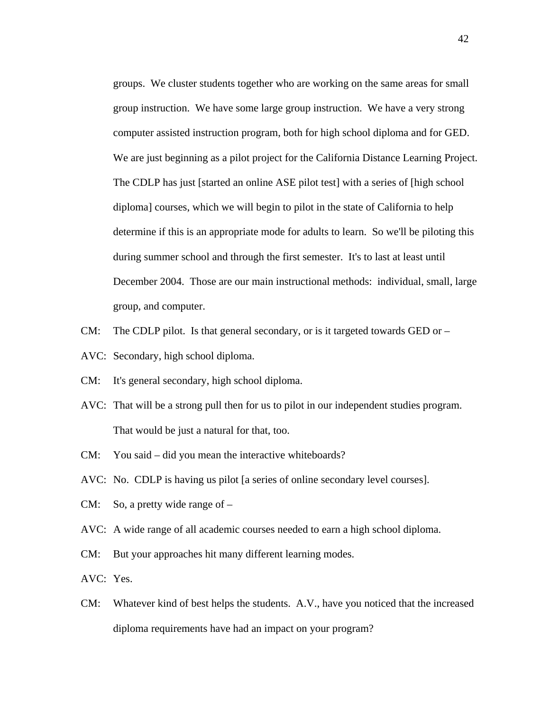groups. We cluster students together who are working on the same areas for small group instruction. We have some large group instruction. We have a very strong computer assisted instruction program, both for high school diploma and for GED. We are just beginning as a pilot project for the California Distance Learning Project. The CDLP has just [started an online ASE pilot test] with a series of [high school diploma] courses, which we will begin to pilot in the state of California to help determine if this is an appropriate mode for adults to learn. So we'll be piloting this during summer school and through the first semester. It's to last at least until December 2004. Those are our main instructional methods: individual, small, large group, and computer.

- CM: The CDLP pilot. Is that general secondary, or is it targeted towards GED or  $-$
- AVC: Secondary, high school diploma.
- CM: It's general secondary, high school diploma.
- AVC: That will be a strong pull then for us to pilot in our independent studies program. That would be just a natural for that, too.
- You said did you mean the interactive whiteboards?
- CM: You said did you mean the interactive whiteboards? AVC: No. CDLP is having us pilot [a series of online secondary level courses].
- CM: So, a pretty wide range of –
- AVC: A wide range of all academic courses needed to earn a high school diploma.
- CM: But your approaches hit many different learning modes.
- AVC: Yes.
- CM: Whatever kind of best helps the students. A.V., have you noticed that the increased diploma requirements have had an impact on your program?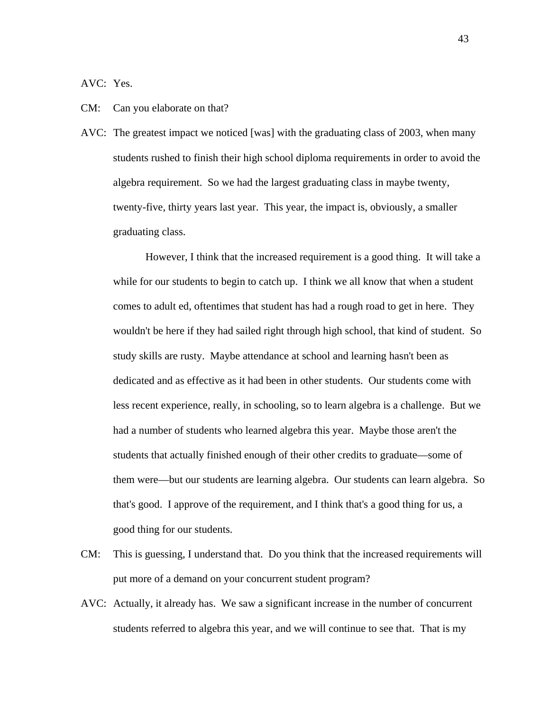AVC: Yes.

#### CM: Can you elaborate on that?

AVC: The greatest impact we noticed [was] with the graduating class of 2003, when many students rushed to finish their high school diploma requirements in order to avoid the algebra requirement. So we had the largest graduating class in maybe twenty, twenty-five, thirty years last year. This year, the impact is, obviously, a smaller graduating class.

However, I think that the increased requirement is a good thing. It will take a while for our students to begin to catch up. I think we all know that when a student comes to adult ed, oftentimes that student has had a rough road to get in here. They wouldn't be here if they had sailed right through high school, that kind of student. So study skills are rusty. Maybe attendance at school and learning hasn't been as dedicated and as effective as it had been in other students. Our students come with less recent experience, really, in schooling, so to learn algebra is a challenge. But we had a number of students who learned algebra this year. Maybe those aren't the students that actually finished enough of their other credits to graduate—some of them were—but our students are learning algebra. Our students can learn algebra. So that's good. I approve of the requirement, and I think that's a good thing for us, a good thing for our students.

- CM: This is guessing, I understand that. Do you think that the increased requirements will put more of a demand on your concurrent student program?
- AVC: Actually, it already has. We saw a significant increase in the number of concurrent students referred to algebra this year, and we will continue to see that. That is my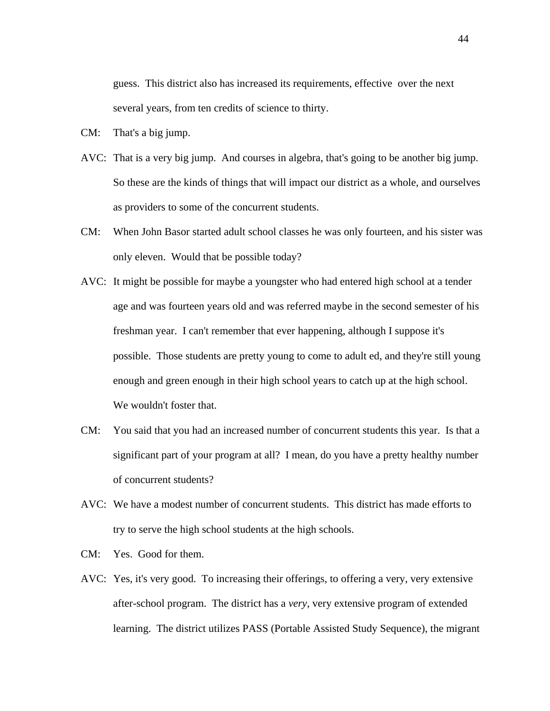guess. This district also has increased its requirements, effective over the next several years, from ten credits of science to thirty.

- CM: That's a big jump.
- AVC: That is a very big jump. And courses in algebra, that's going to be another big jump. So these are the kinds of things that will impact our district as a whole, and ourselves as providers to some of the concurrent students.
- CM: When John Basor started adult school classes he was only fourteen, and his sister was only eleven. Would that be possible today?
- AVC: It might be possible for maybe a youngster who had entered high school at a tender age and was fourteen years old and was referred maybe in the second semester of his freshman year. I can't remember that ever happening, although I suppose it's possible. Those students are pretty young to come to adult ed, and they're still young enough and green enough in their high school years to catch up at the high school. We wouldn't foster that.
- significant part of your program at all? I mean, do you have a pretty healthy number CM: You said that you had an increased number of concurrent students this year. Is that a of concurrent students?
- AVC: We have a modest number of concurrent students. This district has made efforts to try to serve the high school students at the high schools.
- CM: Yes. Good for them.
- AVC: Yes, it's very good. To increasing their offerings, to offering a very, very extensive after-school program. The district has a *very*, very extensive program of extended learning. The district utilizes PASS (Portable Assisted Study Sequence), the migrant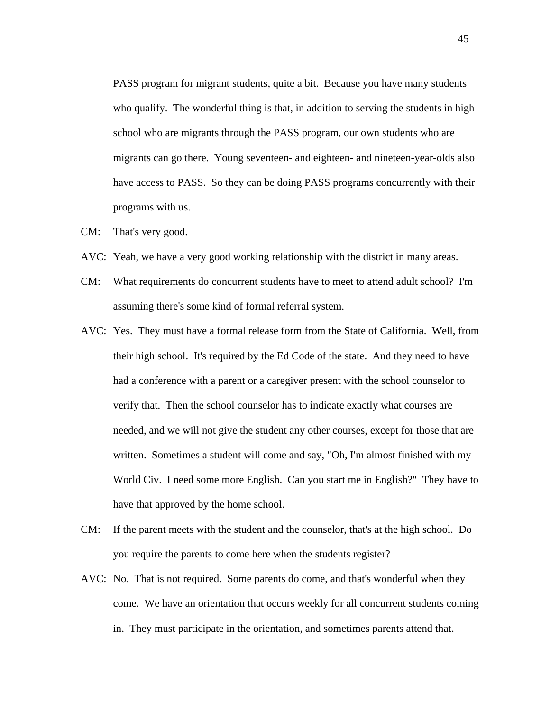PASS program for migrant students, quite a bit. Because you have many students who qualify. The wonderful thing is that, in addition to serving the students in high school who are migrants through the PASS program, our own students who are migrants can go there. Young seventeen- and eighteen- and nineteen-year-olds also have access to PASS. So they can be doing PASS programs concurrently with their programs with us.

- CM: That's very good.
- AVC: Yeah, we have a very good working relationship with the district in many areas.
- CM: What requirements do concurrent students have to meet to attend adult school? I'm assuming there's some kind of formal referral system.
- AVC: Yes. They must have a formal release form from the State of California. Well, from their high school. It's required by the Ed Code of the state. And they need to have had a conference with a parent or a caregiver present with the school counselor to verify that. Then the school counselor has to indicate exactly what courses are needed, and we will not give the student any other courses, except for those that are written. Sometimes a student will come and say, "Oh, I'm almost finished with my World Civ. I need some more English. Can you start me in English?" They have to have that approved by the home school.
- CM: If the parent meets with the student and the counselor, that's at the high school. Do you require the parents to come here when the students register?
- AVC: No. That is not required. Some parents do come, and that's wonderful when they come. We have an orientation that occurs weekly for all concurrent students coming in. They must participate in the orientation, and sometimes parents attend that.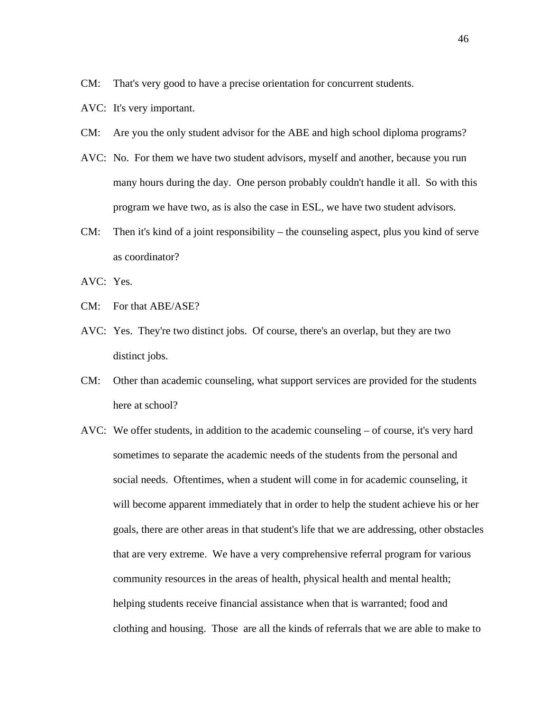- CM: That's very good to have a precise orientation for concurrent students.
- AVC: It's very important.
- CM: Are you the only student advisor for the ABE and high school diploma programs?
- AVC: No. For them we have two student advisors, myself and another, because you run many hours during the day. One person probably couldn't handle it all. So with this program we have two, as is also the case in ESL, we have two student advisors.
- CM: Then it's kind of a joint responsibility the counseling aspect, plus you kind of serve as coordinator?
- AVC: Yes.
- CM: For that ABE/ASE?
- AVC: Yes. They're two distinct jobs. Of course, there's an overlap, but they are two distinct jobs.
- CM: Other than academic counseling, what support services are provided for the students here at school?
- AVC: We offer students, in addition to the academic counseling of course, it's very hard sometimes to separate the academic needs of the students from the personal and social needs. Oftentimes, when a student will come in for academic counseling, it will become apparent immediately that in order to help the student achieve his or her goals, there are other areas in that student's life that we are addressing, other obstacles that are very extreme. We have a very comprehensive referral program for various community resources in the areas of health, physical health and mental health; helping students receive financial assistance when that is warranted; food and clothing and housing. Those are all the kinds of referrals that we are able to make to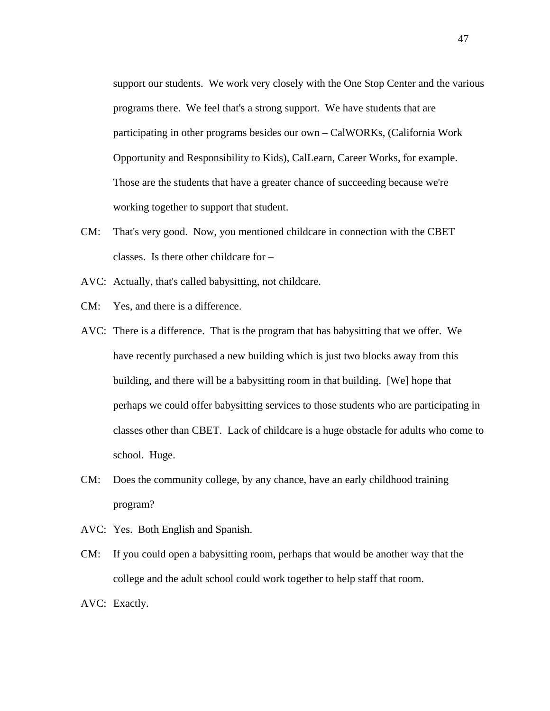support our students. We work very closely with the One Stop Center and the various programs there. We feel that's a strong support. We have students that are participating in other programs besides our own – CalWORKs, (California Work Opportunity and Responsibility to Kids), CalLearn, Career Works, for example. Those are the students that have a greater chance of succeeding because we're working together to support that student.

- CM: That's very good. Now, you mentioned childcare in connection with the CBET classes. Is there other childcare for –
- AVC: Actually, that's called babysitting, not childcare.
- CM: Yes, and there is a difference.
- AVC: There is a difference. That is the program that has babysitting that we offer. We have recently purchased a new building which is just two blocks away from this building, and there will be a babysitting room in that building. [We] hope that perhaps we could offer babysitting services to those students who are participating in classes other than CBET. Lack of childcare is a huge obstacle for adults who come to school. Huge.
- CM: Does the community college, by any chance, have an early childhood training program?
- AVC: Yes. Both English and Spanish.
- CM: If you could open a babysitting room, perhaps that would be another way that the college and the adult school could work together to help staff that room.
- AVC: Exactly.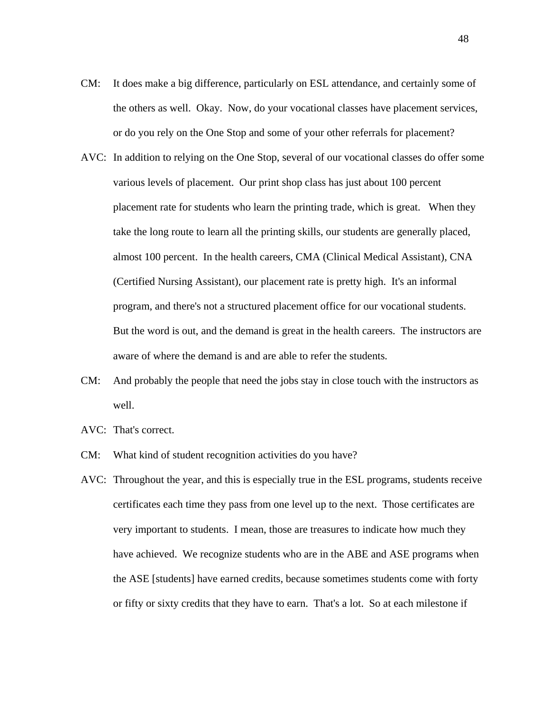- CM: It does make a big difference, particularly on ESL attendance, and certainly some of the others as well. Okay. Now, do your vocational classes have placement services, or do you rely on the One Stop and some of your other referrals for placement?
- AVC: In addition to relying on the One Stop, several of our vocational classes do offer some various levels of placement. Our print shop class has just about 100 percent placement rate for students who learn the printing trade, which is great. When they take the long route to learn all the printing skills, our students are generally placed, almost 100 percent. In the health careers, CMA (Clinical Medical Assistant), CNA (Certified Nursing Assistant), our placement rate is pretty high. It's an informal program, and there's not a structured placement office for our vocational students. But the word is out, and the demand is great in the health careers. The instructors are aware of where the demand is and are able to refer the students.
- CM: And probably the people that need the jobs stay in close touch with the instructors as well.
- AVC: That's correct.
- CM: What kind of student recognition activities do you have?
- AVC: Throughout the year, and this is especially true in the ESL programs, students receive certificates each time they pass from one level up to the next. Those certificates are very important to students. I mean, those are treasures to indicate how much they have achieved. We recognize students who are in the ABE and ASE programs when the ASE [students] have earned credits, because sometimes students come with forty or fifty or sixty credits that they have to earn. That's a lot. So at each milestone if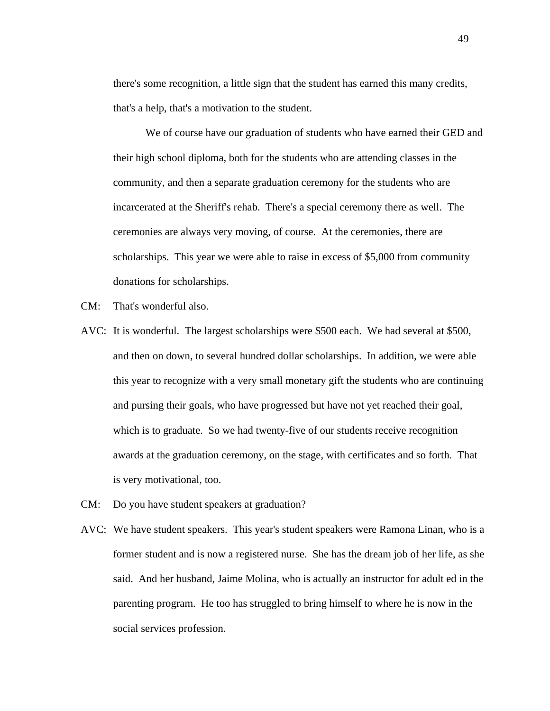there's some recognition, a little sign that the student has earned this many credits, that's a help, that's a motivation to the student.

We of course have our graduation of students who have earned their GED and their high school diploma, both for the students who are attending classes in the community, and then a separate graduation ceremony for the students who are incarcerated at the Sheriff's rehab. There's a special ceremony there as well. The ceremonies are always very moving, of course. At the ceremonies, there are scholarships. This year we were able to raise in excess of \$5,000 from community donations for scholarships.

- CM: That's wonderful also.
- AVC: It is wonderful. The largest scholarships were \$500 each. We had several at \$500, and then on down, to several hundred dollar scholarships. In addition, we were able this year to recognize with a very small monetary gift the students who are continuing and pursing their goals, who have progressed but have not yet reached their goal, which is to graduate. So we had twenty-five of our students receive recognition awards at the graduation ceremony, on the stage, with certificates and so forth. That is very motivational, too.
- CM: Do you have student speakers at graduation?
- AVC: We have student speakers. This year's student speakers were Ramona Linan, who is a former student and is now a registered nurse. She has the dream job of her life, as she said. And her husband, Jaime Molina, who is actually an instructor for adult ed in the parenting program. He too has struggled to bring himself to where he is now in the social services profession.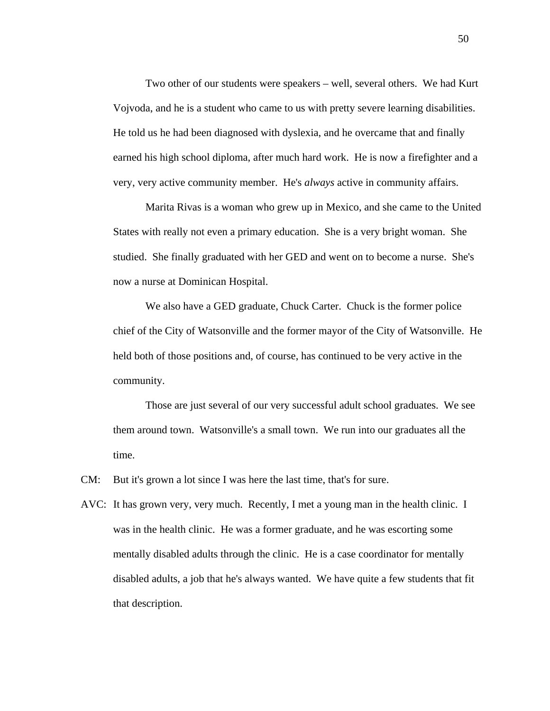Two other of our students were speakers – well, several others. We had Kurt Vojvoda, and he is a student who came to us with pretty severe learning disabilities. He told us he had been diagnosed with dyslexia, and he overcame that and finally earned his high school diploma, after much hard work. He is now a firefighter and a very, very active community member. He's *always* active in community affairs.

Marita Rivas is a woman who grew up in Mexico, and she came to the United States with really not even a primary education. She is a very bright woman. She studied. She finally graduated with her GED and went on to become a nurse. She's now a nurse at Dominican Hospital.

We also have a GED graduate, Chuck Carter. Chuck is the former police chief of the City of Watsonville and the former mayor of the City of Watsonville. He held both of those positions and, of course, has continued to be very active in the community.

Those are just several of our very successful adult school graduates. We see them around town. Watsonville's a small town. We run into our graduates all the time.

CM: But it's grown a lot since I was here the last time, that's for sure.

AVC: It has grown very, very much. Recently, I met a young man in the health clinic. I was in the health clinic. He was a former graduate, and he was escorting some mentally disabled adults through the clinic. He is a case coordinator for mentally disabled adults, a job that he's always wanted. We have quite a few students that fit that description.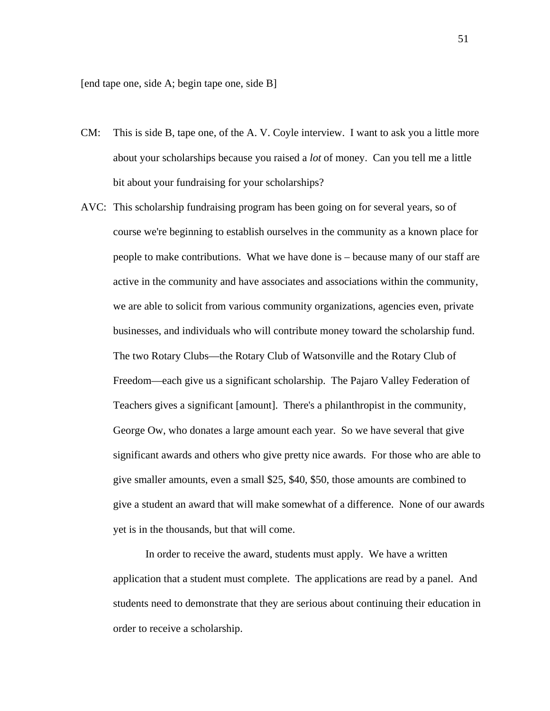[end tape one, side A; begin tape one, side B]

- CM: This is side B, tape one, of the A. V. Coyle interview. I want to ask you a little more about your scholarships because you raised a *lot* of money. Can you tell me a little bit about your fundraising for your scholarships?
- AVC: This scholarship fundraising program has been going on for several years, so of course we're beginning to establish ourselves in the community as a known place for people to make contributions. What we have done is – because many of our staff are active in the community and have associates and associations within the community, we are able to solicit from various community organizations, agencies even, private businesses, and individuals who will contribute money toward the scholarship fund. The two Rotary Clubs—the Rotary Club of Watsonville and the Rotary Club of Freedom—each give us a significant scholarship. The Pajaro Valley Federation of Teachers gives a significant [amount]. There's a philanthropist in the community, George Ow, who donates a large amount each year. So we have several that give significant awards and others who give pretty nice awards. For those who are able to give smaller amounts, even a small \$25, \$40, \$50, those amounts are combined to give a student an award that will make somewhat of a difference. None of our awards yet is in the thousands, but that will come.

In order to receive the award, students must apply. We have a written application that a student must complete. The applications are read by a panel. And students need to demonstrate that they are serious about continuing their education in order to receive a scholarship.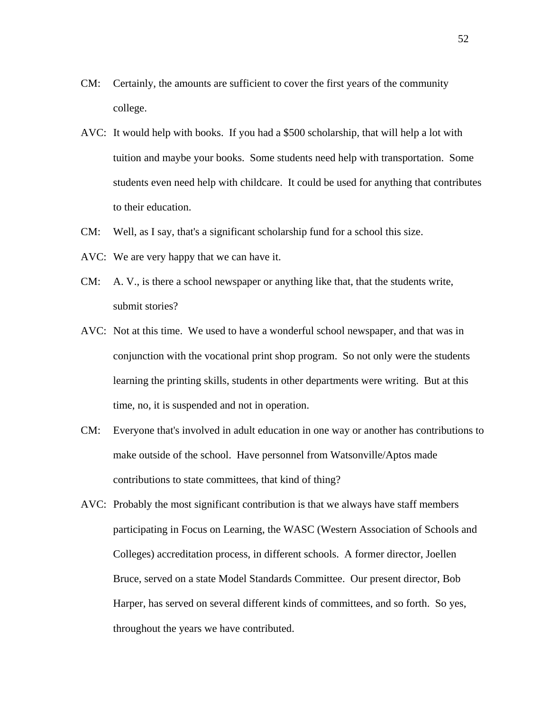- CM: Certainly, the amounts are sufficient to cover the first years of the community college.
- AVC: It would help with books. If you had a \$500 scholarship, that will help a lot with tuition and maybe your books. Some students need help with transportation. Some students even need help with childcare. It could be used for anything that contributes to their education.
- CM: Well, as I say, that's a significant scholarship fund for a school this size.
- AVC: We are very happy that we can have it.
- CM: A. V., is there a school newspaper or anything like that, that the students write, submit stories?
- AVC: Not at this time. We used to have a wonderful school newspaper, and that was in conjunction with the vocational print shop program. So not only were the students learning the printing skills, students in other departments were writing. But at this time, no, it is suspended and not in operation.
- CM: Everyone that's involved in adult education in one way or another has contributions to make outside of the school. Have personnel from Watsonville/Aptos made contributions to state committees, that kind of thing?
- AVC: Probably the most significant contribution is that we always have staff members participating in Focus on Learning, the WASC (Western Association of Schools and Colleges) accreditation process, in different schools. A former director, Joellen Bruce, served on a state Model Standards Committee. Our present director, Bob Harper, has served on several different kinds of committees, and so forth. So yes, throughout the years we have contributed.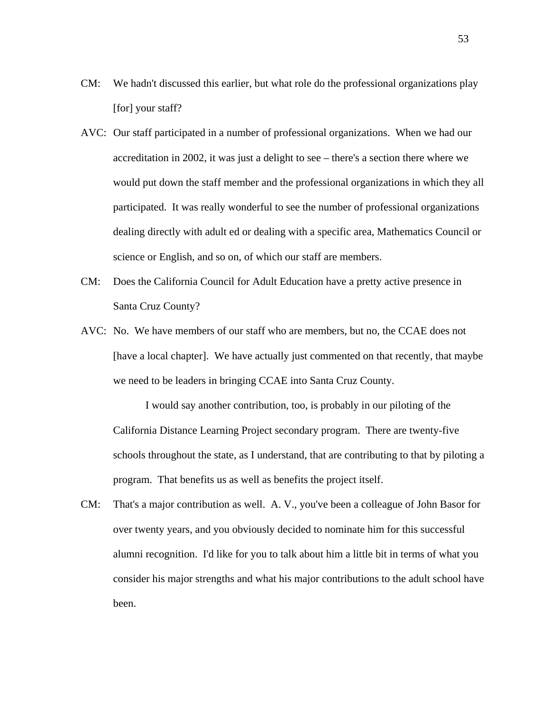- CM: We hadn't discussed this earlier, but what role do the professional organizations play [for] your staff?
- AVC: Our staff participated in a number of professional organizations. When we had our accreditation in 2002, it was just a delight to see – there's a section there where we would put down the staff member and the professional organizations in which they all participated. It was really wonderful to see the number of professional organizations dealing directly with adult ed or dealing with a specific area, Mathematics Council or science or English, and so on, of which our staff are members.
- CM: Does the California Council for Adult Education have a pretty active presence in Santa Cruz County?
- AVC: No. We have members of our staff who are members, but no, the CCAE does not [have a local chapter]. We have actually just commented on that recently, that maybe we need to be leaders in bringing CCAE into Santa Cruz County.

I would say another contribution, too, is probably in our piloting of the California Distance Learning Project secondary program. There are twenty-five schools throughout the state, as I understand, that are contributing to that by piloting a program. That benefits us as well as benefits the project itself.

CM: That's a major contribution as well. A. V., you've been a colleague of John Basor for over twenty years, and you obviously decided to nominate him for this successful alumni recognition. I'd like for you to talk about him a little bit in terms of what you consider his major strengths and what his major contributions to the adult school have been.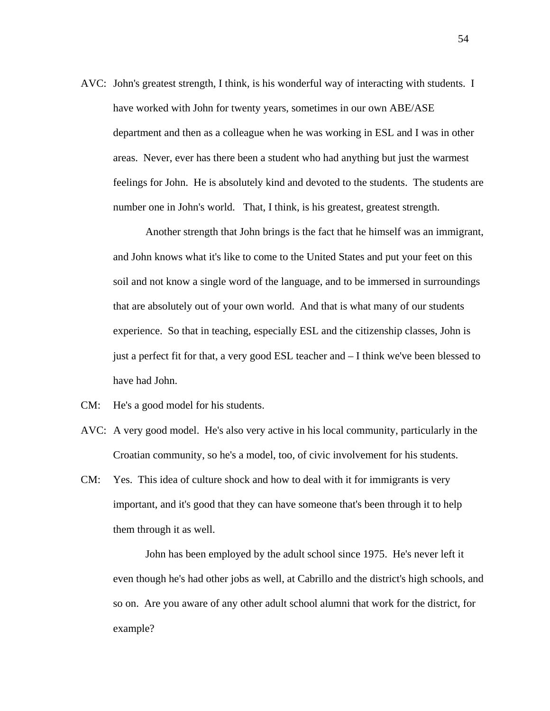AVC: John's greatest strength, I think, is his wonderful way of interacting with students. I have worked with John for twenty years, sometimes in our own ABE/ASE department and then as a colleague when he was working in ESL and I was in other areas. Never, ever has there been a student who had anything but just the warmest feelings for John. He is absolutely kind and devoted to the students. The students are number one in John's world. That, I think, is his greatest, greatest strength.

Another strength that John brings is the fact that he himself was an immigrant, and John knows what it's like to come to the United States and put your feet on this soil and not know a single word of the language, and to be immersed in surroundings that are absolutely out of your own world. And that is what many of our students experience. So that in teaching, especially ESL and the citizenship classes, John is just a perfect fit for that, a very good ESL teacher and – I think we've been blessed to have had John.

- CM: He's a good model for his students.
- AVC: A very good model. He's also very active in his local community, particularly in the Croatian community, so he's a model, too, of civic involvement for his students.
- CM: Yes. This idea of culture shock and how to deal with it for immigrants is very important, and it's good that they can have someone that's been through it to help them through it as well.

John has been employed by the adult school since 1975. He's never left it even though he's had other jobs as well, at Cabrillo and the district's high schools, and so on. Are you aware of any other adult school alumni that work for the district, for example?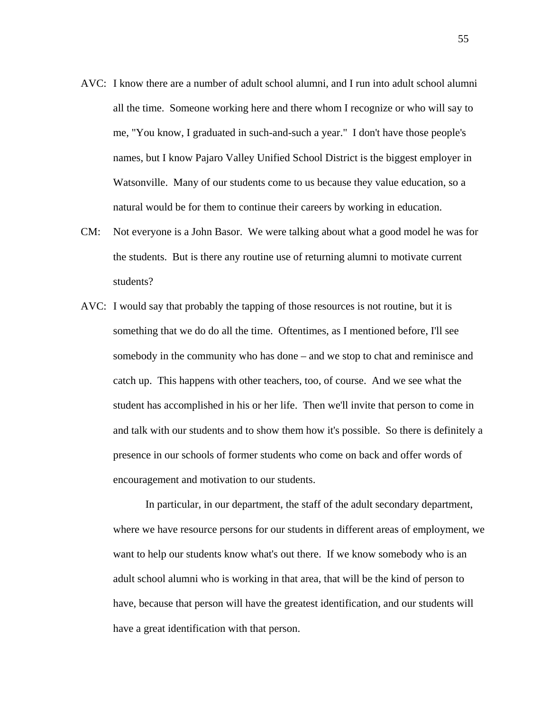- AVC: I know there are a number of adult school alumni, and I run into adult school alumni all the time. Someone working here and there whom I recognize or who will say to me, "You know, I graduated in such-and-such a year." I don't have those people's names, but I know Pajaro Valley Unified School District is the biggest employer in Watsonville. Many of our students come to us because they value education, so a natural would be for them to continue their careers by working in education.
- CM: Not everyone is a John Basor. We were talking about what a good model he was for the students. But is there any routine use of returning alumni to motivate current students?
- AVC: I would say that probably the tapping of those resources is not routine, but it is something that we do do all the time. Oftentimes, as I mentioned before, I'll see somebody in the community who has done – and we stop to chat and reminisce and catch up. This happens with other teachers, too, of course. And we see what the student has accomplished in his or her life. Then we'll invite that person to come in and talk with our students and to show them how it's possible. So there is definitely a presence in our schools of former students who come on back and offer words of encouragement and motivation to our students.

In particular, in our department, the staff of the adult secondary department, where we have resource persons for our students in different areas of employment, we want to help our students know what's out there. If we know somebody who is an adult school alumni who is working in that area, that will be the kind of person to have, because that person will have the greatest identification, and our students will have a great identification with that person.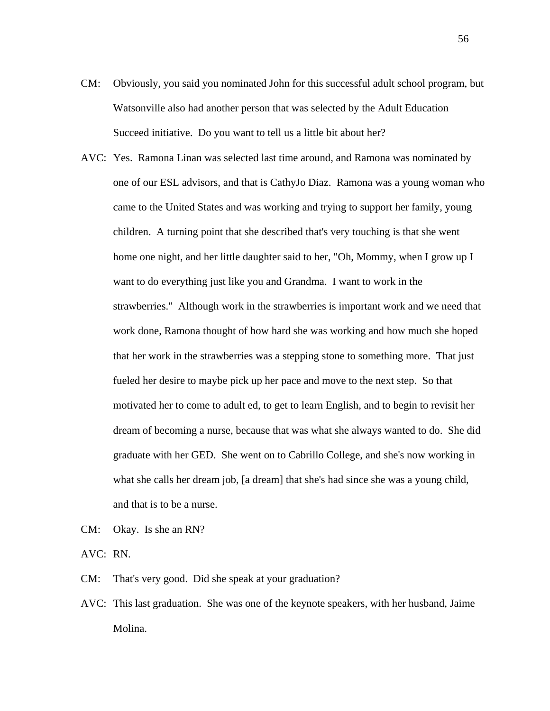- CM: Obviously, you said you nominated John for this successful adult school program, but Watsonville also had another person that was selected by the Adult Education Succeed initiative. Do you want to tell us a little bit about her?
- AVC: Yes. Ramona Linan was selected last time around, and Ramona was nominated by one of our ESL advisors, and that is CathyJo Diaz. Ramona was a young woman who came to the United States and was working and trying to support her family, young children. A turning point that she described that's very touching is that she went home one night, and her little daughter said to her, "Oh, Mommy, when I grow up I want to do everything just like you and Grandma. I want to work in the strawberries." Although work in the strawberries is important work and we need that work done, Ramona thought of how hard she was working and how much she hoped that her work in the strawberries was a stepping stone to something more. That just fueled her desire to maybe pick up her pace and move to the next step. So that motivated her to come to adult ed, to get to learn English, and to begin to revisit her dream of becoming a nurse, because that was what she always wanted to do. She did graduate with her GED. She went on to Cabrillo College, and she's now working in what she calls her dream job, [a dream] that she's had since she was a young child, and that is to be a nurse.
- CM: Okay. Is she an RN?
- AVC: RN.

CM: That's very good. Did she speak at your graduation?

AVC: This last graduation. She was one of the keynote speakers, with her husband, Jaime Molina.

56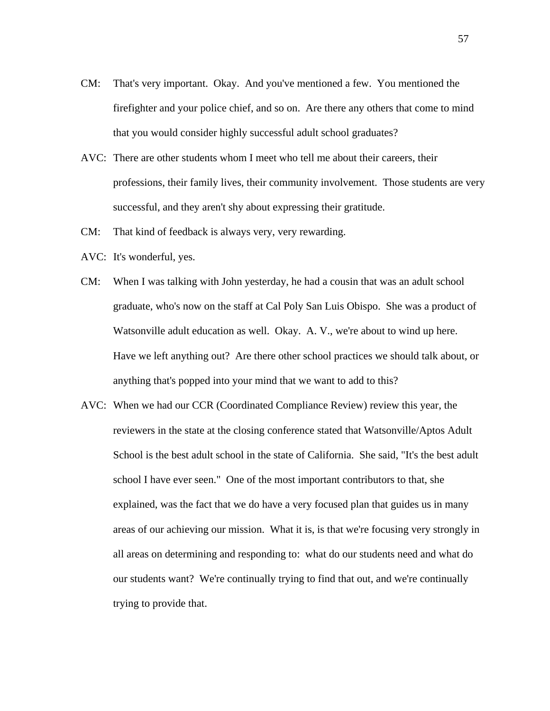- CM: That's very important. Okay. And you've mentioned a few. You mentioned the firefighter and your police chief, and so on. Are there any others that come to mind that you would consider highly successful adult school graduates?
- AVC: There are other students whom I meet who tell me about their careers, their professions, their family lives, their community involvement. Those students are very successful, and they aren't shy about expressing their gratitude.
- CM: That kind of feedback is always very, very rewarding.
- AVC: It's wonderful, yes.
- CM: When I was talking with John yesterday, he had a cousin that was an adult school graduate, who's now on the staff at Cal Poly San Luis Obispo. She was a product of Watsonville adult education as well. Okay. A. V., we're about to wind up here. Have we left anything out? Are there other school practices we should talk about, or anything that's popped into your mind that we want to add to this?
- AVC: When we had our CCR (Coordinated Compliance Review) review this year, the reviewers in the state at the closing conference stated that Watsonville/Aptos Adult School is the best adult school in the state of California. She said, "It's the best adult school I have ever seen." One of the most important contributors to that, she explained, was the fact that we do have a very focused plan that guides us in many areas of our achieving our mission. What it is, is that we're focusing very strongly in all areas on determining and responding to: what do our students need and what do our students want? We're continually trying to find that out, and we're continually trying to provide that.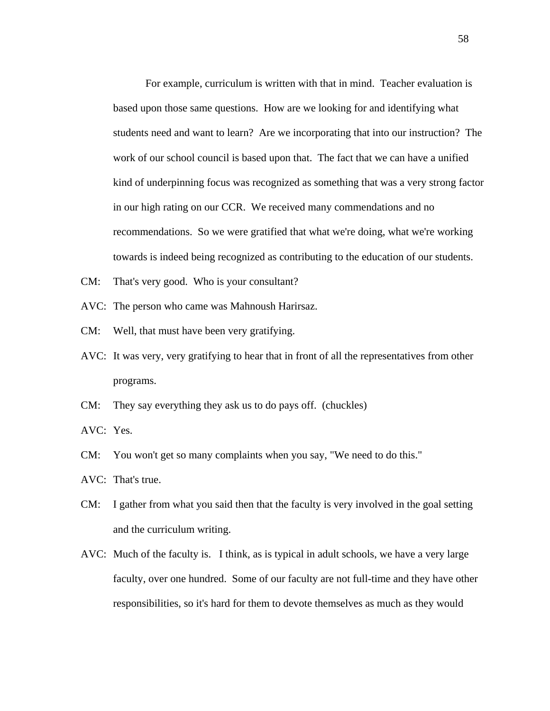For example, curriculum is written with that in mind. Teacher evaluation is based upon those same questions. How are we looking for and identifying what students need and want to learn? Are we incorporating that into our instruction? The work of our school council is based upon that. The fact that we can have a unified kind of underpinning focus was recognized as something that was a very strong factor in our high rating on our CCR. We received many commendations and no recommendations. So we were gratified that what we're doing, what we're working towards is indeed being recognized as contributing to the education of our students.

- CM: That's very good. Who is your consultant?
- AVC: The person who came was Mahnoush Harirsaz.
- CM: Well, that must have been very gratifying.
- AVC: It was very, very gratifying to hear that in front of all the representatives from other programs.
- CM: They say everything they ask us to do pays off. (chuckles)
- AVC: Yes.
- CM: You won't get so many complaints when you say, "We need to do this."
- AVC: That's true.
- CM: I gather from what you said then that the faculty is very involved in the goal setting and the curriculum writing.
- AVC: Much of the faculty is. I think, as is typical in adult schools, we have a very large faculty, over one hundred. Some of our faculty are not full-time and they have other responsibilities, so it's hard for them to devote themselves as much as they would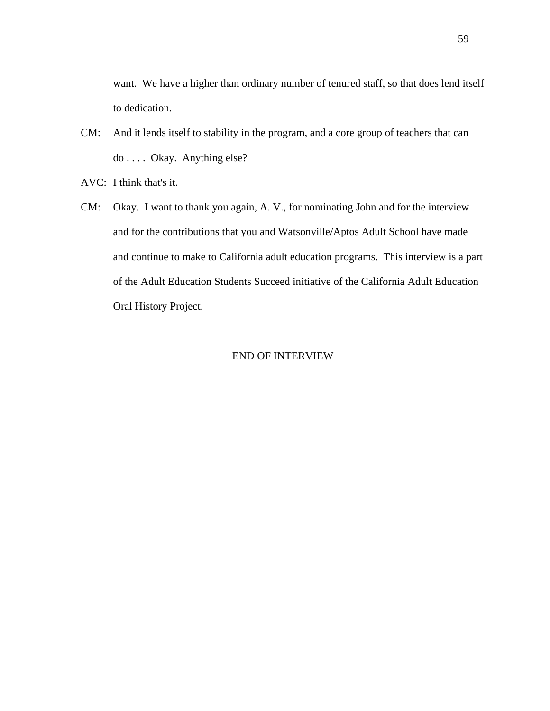want. We have a higher than ordinary number of tenured staff, so that does lend itself to dedication.

- CM: And it lends itself to stability in the program, and a core group of teachers that can do . . . . Okay. Anything else?
- AVC: I think that's it.
- CM: Okay. I want to thank you again, A. V., for nominating John and for the interview and for the contributions that you and Watsonville/Aptos Adult School have made and continue to make to California adult education programs. This interview is a part of the Adult Education Students Succeed initiative of the California Adult Education Oral History Project.

#### END OF INTERVIEW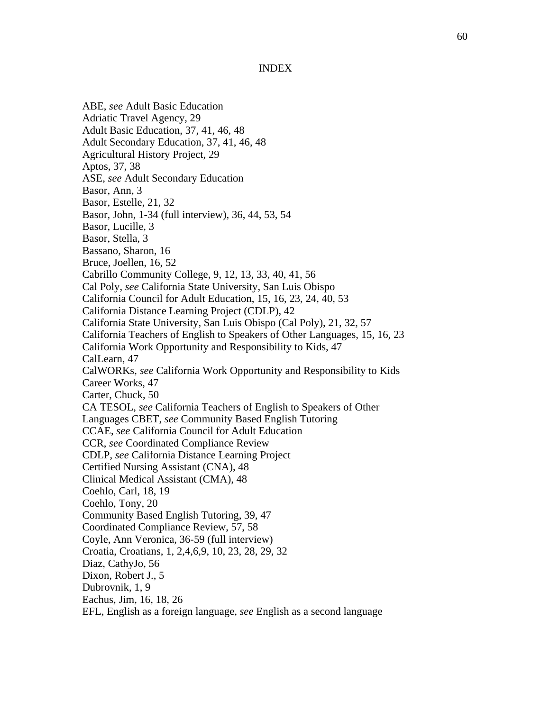#### INDEX

<span id="page-67-0"></span>ABE, *see* Adult Basic Education Adriatic Travel Agency, 29 Adult Basic Education, 37, 41, 46, 48 Adult Secondary Education, 37, 41, 46, 48 Agricultural History Project, 29 Aptos, 37, 38 ASE, *see* Adult Secondary Education Basor, Ann, 3 Basor, Estelle, 21, 32 Basor, John, 1-34 (full interview), 36, 44, 53, 54 Basor, Lucille, 3 Basor, Stella, 3 Bassano, Sharon, 16 Bruce, Joellen, 16, 52 Cabrillo Community College, 9, 12, 13, 33, 40, 41, 56 Cal Poly, *see* California State University, San Luis Obispo California Council for Adult Education, 15, 16, 23, 24, 40, 53 California Distance Learning Project (CDLP), 42 California State University, San Luis Obispo (Cal Poly), 21, 32, 57 California Teachers of English to Speakers of Other Languages, 15, 16, 23 California Work Opportunity and Responsibility to Kids, 47 CalLearn, 47 CalWORKs, *see* California Work Opportunity and Responsibility to Kids Career Works, 47 Carter, Chuck, 50 CA TESOL, *see* California Teachers of English to Speakers of Other Languages CBET, *see* Community Based English Tutoring CCAE, *see* California Council for Adult Education CCR, *see* Coordinated Compliance Review CDLP, *see* California Distance Learning Project Certified Nursing Assistant (CNA), 48 Clinical Medical Assistant (CMA), 48 Coehlo, Carl, 18, 19 Coehlo, Tony, 20 Community Based English Tutoring, 39, 47 Coordinated Compliance Review, 57, 58 Coyle, Ann Veronica, 36-59 (full interview) Croatia, Croatians, 1, 2,4,6,9, 10, 23, 28, 29, 32 Diaz, CathyJo, 56 Dixon, Robert J., 5 Dubrovnik, 1, 9 Eachus, Jim, 16, 18, 26 EFL, English as a foreign language, *see* English as a second language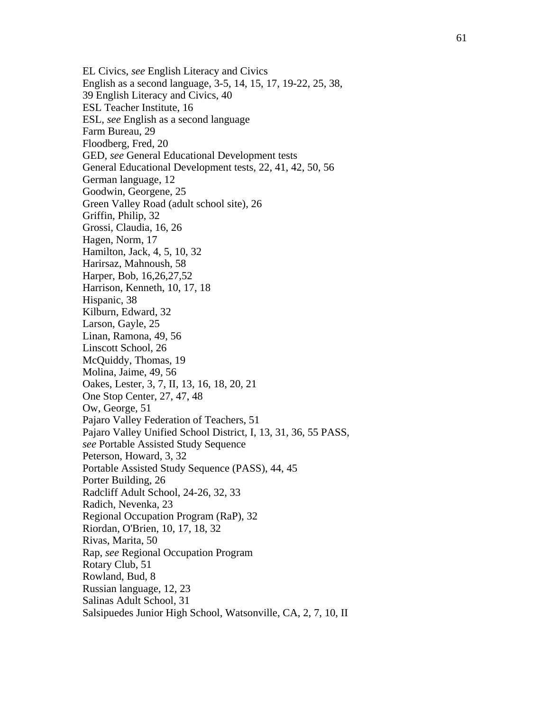EL Civics, *see* English Literacy and Civics English as a second language, 3-5, 14, 15, 17, 19-22, 25, 38, 39 English Literacy and Civics, 40 ESL Teacher Institute, 16 ESL, *see* English as a second language Farm Bureau, 29 Floodberg, Fred, 20 GED, *see* General Educational Development tests General Educational Development tests, 22, 41, 42, 50, 56 German language, 12 Goodwin, Georgene, 25 Green Valley Road (adult school site), 26 Griffin, Philip, 32 Grossi, Claudia, 16, 26 Hagen, Norm, 17 Hamilton, Jack, 4, 5, 10, 32 Harirsaz, Mahnoush, 58 Harper, Bob, 16,26,27,52 Harrison, Kenneth, 10, 17, 18 Hispanic, 38 Kilburn, Edward, 32 Larson, Gayle, 25 Linan, Ramona, 49, 56 Linscott School, 26 McQuiddy, Thomas, 19 Molina, Jaime, 49, 56 Oakes, Lester, 3, 7, II, 13, 16, 18, 20, 21 One Stop Center, 27, 47, 48 Ow, George, 51 Pajaro Valley Federation of Teachers, 51 Pajaro Valley Unified School District, I, 13, 31, 36, 55 PASS, *see* Portable Assisted Study Sequence Peterson, Howard, 3, 32 Portable Assisted Study Sequence (PASS), 44, 45 Porter Building, 26 Radcliff Adult School, 24-26, 32, 33 Radich, Nevenka, 23 Regional Occupation Program (RaP), 32 Riordan, O'Brien, 10, 17, 18, 32 Rivas, Marita, 50 Rap, *see* Regional Occupation Program Rotary Club, 51 Rowland, Bud, 8 Russian language, 12, 23 Salinas Adult School, 31 Salsipuedes Junior High School, Watsonville, CA, 2, 7, 10, II